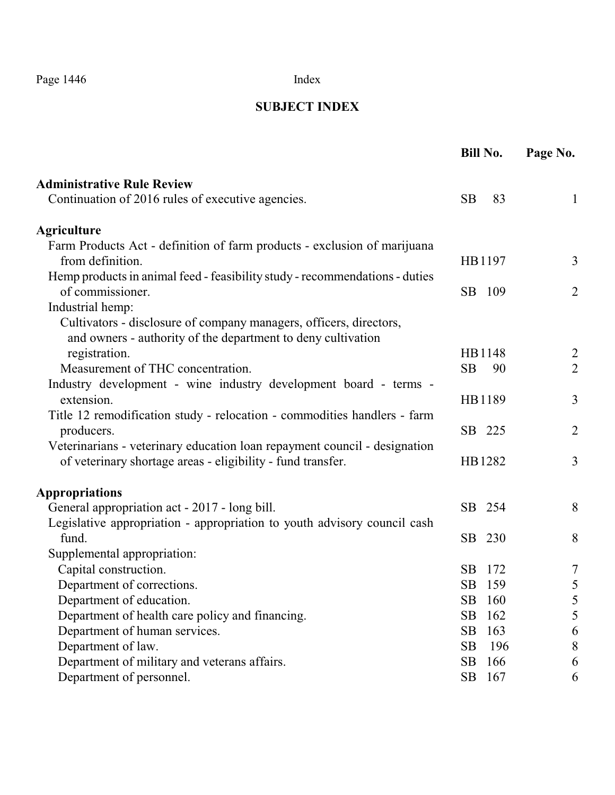### **SUBJECT INDEX**

|                                                                                                                                                        | <b>Bill No.</b> | Page No.       |
|--------------------------------------------------------------------------------------------------------------------------------------------------------|-----------------|----------------|
| <b>Administrative Rule Review</b>                                                                                                                      |                 |                |
| Continuation of 2016 rules of executive agencies.                                                                                                      | <b>SB</b><br>83 | $\mathbf{1}$   |
| <b>Agriculture</b>                                                                                                                                     |                 |                |
| Farm Products Act - definition of farm products - exclusion of marijuana<br>from definition.                                                           | HB1197          | 3              |
| Hemp products in animal feed - feasibility study - recommendations - duties<br>of commissioner.                                                        | SB 109          | $\overline{2}$ |
| Industrial hemp:<br>Cultivators - disclosure of company managers, officers, directors,<br>and owners - authority of the department to deny cultivation |                 |                |
| registration.                                                                                                                                          | HB1148          | $\overline{2}$ |
| Measurement of THC concentration.<br>Industry development - wine industry development board - terms -                                                  | <b>SB</b><br>90 | $\overline{2}$ |
| extension.                                                                                                                                             | HB1189          | $\overline{3}$ |
| Title 12 remodification study - relocation - commodities handlers - farm<br>producers.                                                                 | SB 225          | $\overline{2}$ |
| Veterinarians - veterinary education loan repayment council - designation<br>of veterinary shortage areas - eligibility - fund transfer.               | HB1282          | 3              |
| <b>Appropriations</b>                                                                                                                                  |                 |                |
| General appropriation act - 2017 - long bill.                                                                                                          | SB 254          | 8              |
| Legislative appropriation - appropriation to youth advisory council cash<br>fund.<br>Supplemental appropriation:                                       | SB 230          | 8              |
| Capital construction.                                                                                                                                  | SB<br>172       | 7              |
| Department of corrections.                                                                                                                             | SB<br>159       | 5              |
| Department of education.                                                                                                                               | SB<br>160       | 5              |
| Department of health care policy and financing.                                                                                                        | SB<br>162       | 5              |
| Department of human services.                                                                                                                          | SB<br>163       | 6              |
| Department of law.                                                                                                                                     | SB<br>196       | 8              |
| Department of military and veterans affairs.                                                                                                           | SB<br>166       | 6              |
| Department of personnel.                                                                                                                               | 167<br>SB       | 6              |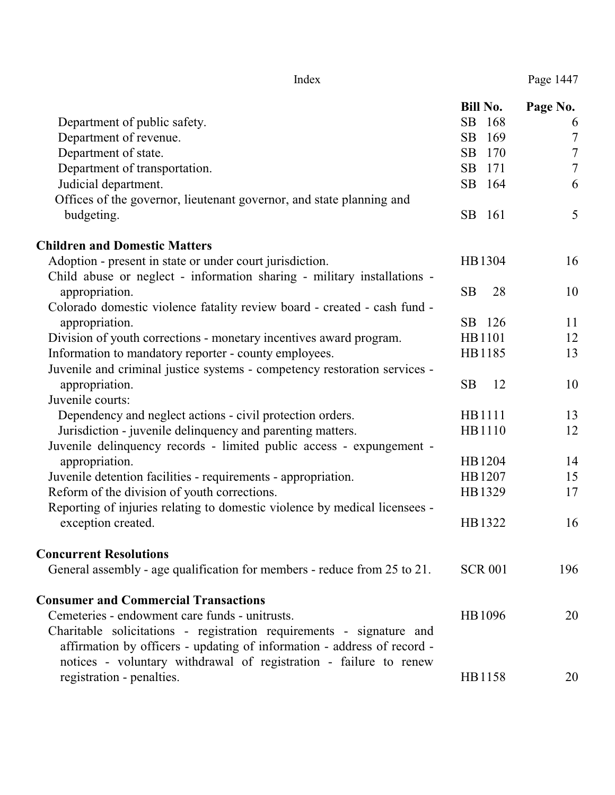|                                                                            | <b>Bill No.</b> | Page No.         |
|----------------------------------------------------------------------------|-----------------|------------------|
| Department of public safety.                                               | SB<br>168       | 6                |
| Department of revenue.                                                     | SB<br>169       | $\overline{7}$   |
| Department of state.                                                       | SB<br>170       | $\boldsymbol{7}$ |
| Department of transportation.                                              | SB<br>171       | $\overline{7}$   |
| Judicial department.                                                       | SB<br>164       | 6                |
| Offices of the governor, lieutenant governor, and state planning and       |                 |                  |
| budgeting.                                                                 | SB<br>161       | 5                |
| <b>Children and Domestic Matters</b>                                       |                 |                  |
| Adoption - present in state or under court jurisdiction.                   | HB1304          | 16               |
| Child abuse or neglect - information sharing - military installations -    |                 |                  |
| appropriation.                                                             | <b>SB</b><br>28 | 10               |
| Colorado domestic violence fatality review board - created - cash fund -   |                 |                  |
| appropriation.                                                             | SB 126          | 11               |
| Division of youth corrections - monetary incentives award program.         | HB1101          | 12               |
| Information to mandatory reporter - county employees.                      | HB1185          | 13               |
| Juvenile and criminal justice systems - competency restoration services -  |                 |                  |
| appropriation.                                                             | <b>SB</b><br>12 | 10               |
| Juvenile courts:                                                           |                 |                  |
| Dependency and neglect actions - civil protection orders.                  | HB1111          | 13               |
| Jurisdiction - juvenile delinquency and parenting matters.                 | HB1110          | 12               |
| Juvenile delinquency records - limited public access - expungement -       |                 |                  |
| appropriation.                                                             | HB1204          | 14               |
| Juvenile detention facilities - requirements - appropriation.              | HB1207          | 15               |
| Reform of the division of youth corrections.                               | HB1329          | 17               |
| Reporting of injuries relating to domestic violence by medical licensees - |                 |                  |
| exception created.                                                         | HB1322          | 16               |
| <b>Concurrent Resolutions</b>                                              |                 |                  |
| General assembly - age qualification for members - reduce from 25 to 21.   | <b>SCR 001</b>  | 196              |
| <b>Consumer and Commercial Transactions</b>                                |                 |                  |
| Cemeteries - endowment care funds - unitrusts.                             | HB1096          | 20               |
| Charitable solicitations - registration requirements - signature and       |                 |                  |
| affirmation by officers - updating of information - address of record -    |                 |                  |
| notices - voluntary withdrawal of registration - failure to renew          |                 |                  |
| registration - penalties.                                                  | HB1158          | 20               |
|                                                                            |                 |                  |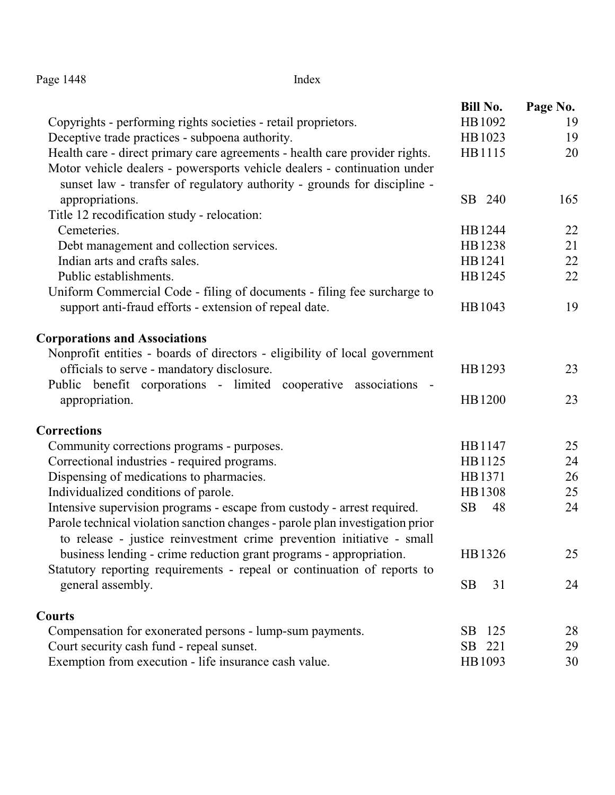| Page 1448 | Index |
|-----------|-------|
|           |       |

|                                                                               | <b>Bill No.</b> | Page No. |
|-------------------------------------------------------------------------------|-----------------|----------|
| Copyrights - performing rights societies - retail proprietors.                | HB1092          | 19       |
| Deceptive trade practices - subpoena authority.                               | HB1023          | 19       |
| Health care - direct primary care agreements - health care provider rights.   | HB1115          | 20       |
| Motor vehicle dealers - powersports vehicle dealers - continuation under      |                 |          |
| sunset law - transfer of regulatory authority - grounds for discipline -      |                 |          |
| appropriations.                                                               | SB 240          | 165      |
| Title 12 recodification study - relocation:                                   |                 |          |
| Cemeteries.                                                                   | HB1244          | 22       |
| Debt management and collection services.                                      | HB1238          | 21       |
| Indian arts and crafts sales.                                                 | HB1241          | 22       |
| Public establishments.                                                        | HB1245          | 22       |
| Uniform Commercial Code - filing of documents - filing fee surcharge to       |                 |          |
| support anti-fraud efforts - extension of repeal date.                        | HB1043          | 19       |
| <b>Corporations and Associations</b>                                          |                 |          |
| Nonprofit entities - boards of directors - eligibility of local government    |                 |          |
| officials to serve - mandatory disclosure.                                    | HB1293          | 23       |
| Public benefit corporations - limited cooperative associations -              |                 |          |
| appropriation.                                                                | HB1200          | 23       |
| <b>Corrections</b>                                                            |                 |          |
| Community corrections programs - purposes.                                    | HB1147          | 25       |
| Correctional industries - required programs.                                  | HB1125          | 24       |
| Dispensing of medications to pharmacies.                                      | HB1371          | 26       |
| Individualized conditions of parole.                                          | HB1308          | 25       |
| Intensive supervision programs - escape from custody - arrest required.       | SB<br>48        | 24       |
| Parole technical violation sanction changes - parole plan investigation prior |                 |          |
| to release - justice reinvestment crime prevention initiative - small         |                 |          |
| business lending - crime reduction grant programs - appropriation.            | HB1326          | 25       |
| Statutory reporting requirements - repeal or continuation of reports to       |                 |          |
| general assembly.                                                             | <b>SB</b><br>31 | 24       |
| <b>Courts</b>                                                                 |                 |          |
| Compensation for exonerated persons - lump-sum payments.                      | 125<br>SB.      | 28       |
| Court security cash fund - repeal sunset.                                     | SB 221          | 29       |
| Exemption from execution - life insurance cash value.                         | HB1093          | 30       |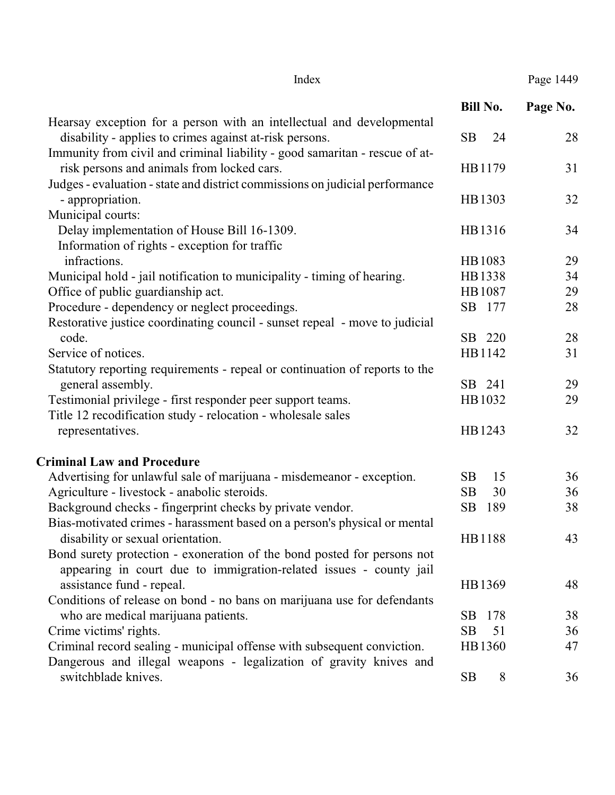#### Index Page 1449

|                                                                                      | <b>Bill No.</b>  | Page No. |
|--------------------------------------------------------------------------------------|------------------|----------|
| Hearsay exception for a person with an intellectual and developmental                |                  |          |
| disability - applies to crimes against at-risk persons.                              | <b>SB</b><br>24  | 28       |
| Immunity from civil and criminal liability - good samaritan - rescue of at-          |                  |          |
| risk persons and animals from locked cars.                                           | HB1179           | 31       |
| Judges - evaluation - state and district commissions on judicial performance         |                  |          |
| - appropriation.                                                                     | HB1303           | 32       |
| Municipal courts:                                                                    |                  |          |
| Delay implementation of House Bill 16-1309.                                          | HB1316           | 34       |
| Information of rights - exception for traffic<br>infractions.                        |                  |          |
|                                                                                      | HB1083           | 29       |
| Municipal hold - jail notification to municipality - timing of hearing.              | HB1338           | 34       |
| Office of public guardianship act.                                                   | HB1087           | 29<br>28 |
| Procedure - dependency or neglect proceedings.                                       | SB 177           |          |
| Restorative justice coordinating council - sunset repeal - move to judicial<br>code. | SB 220           | 28       |
| Service of notices.                                                                  | HB1142           | 31       |
| Statutory reporting requirements - repeal or continuation of reports to the          |                  |          |
| general assembly.                                                                    | SB 241           | 29       |
| Testimonial privilege - first responder peer support teams.                          | HB1032           | 29       |
| Title 12 recodification study - relocation - wholesale sales                         |                  |          |
| representatives.                                                                     | HB1243           | 32       |
| <b>Criminal Law and Procedure</b>                                                    |                  |          |
| Advertising for unlawful sale of marijuana - misdemeanor - exception.                | SB<br>15         | 36       |
| Agriculture - livestock - anabolic steroids.                                         | <b>SB</b><br>30  | 36       |
| Background checks - fingerprint checks by private vendor.                            | <b>SB</b><br>189 | 38       |
| Bias-motivated crimes - harassment based on a person's physical or mental            |                  |          |
| disability or sexual orientation.                                                    | HB1188           | 43       |
| Bond surety protection - exoneration of the bond posted for persons not              |                  |          |
| appearing in court due to immigration-related issues - county jail                   |                  |          |
| assistance fund - repeal.                                                            | HB1369           | 48       |
| Conditions of release on bond - no bans on marijuana use for defendants              |                  |          |
| who are medical marijuana patients.                                                  | SB<br>178        | 38       |
| Crime victims' rights.                                                               | SB<br>51         | 36       |

Criminal record sealing - municipal offense with subsequent conviction. HB1360 47 Dangerous and illegal weapons - legalization of gravity knives and switchblade knives. SB 8 36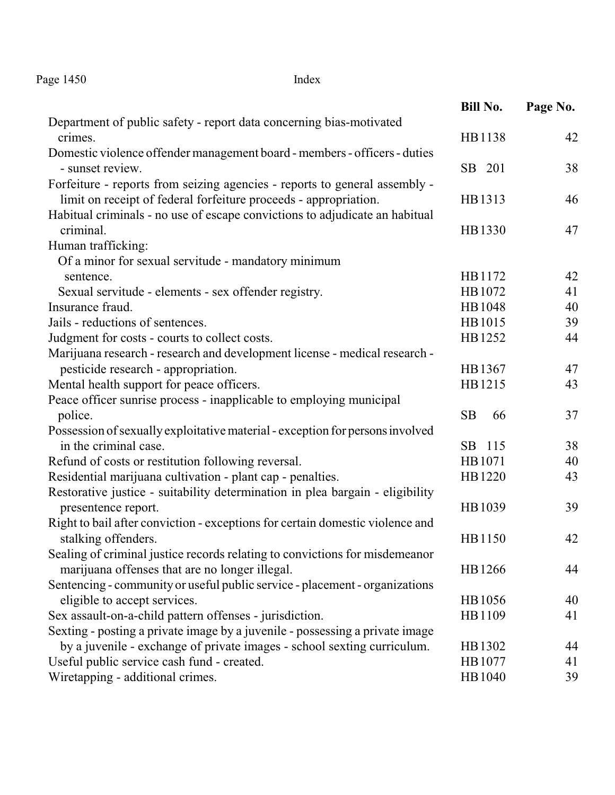Page 1450 Index

|                                                                               | Bill No.        | Page No. |
|-------------------------------------------------------------------------------|-----------------|----------|
| Department of public safety - report data concerning bias-motivated           |                 |          |
| crimes.                                                                       | HB1138          | 42       |
| Domestic violence offender management board - members - officers - duties     |                 |          |
| - sunset review.                                                              | SB 201          | 38       |
| Forfeiture - reports from seizing agencies - reports to general assembly -    |                 |          |
| limit on receipt of federal forfeiture proceeds - appropriation.              | HB1313          | 46       |
| Habitual criminals - no use of escape convictions to adjudicate an habitual   |                 |          |
| criminal.                                                                     | HB1330          | 47       |
| Human trafficking:                                                            |                 |          |
| Of a minor for sexual servitude - mandatory minimum                           |                 |          |
| sentence.                                                                     | HB1172          | 42       |
| Sexual servitude - elements - sex offender registry.                          | HB1072          | 41       |
| Insurance fraud.                                                              | HB1048          | 40       |
| Jails - reductions of sentences.                                              | HB1015          | 39       |
| Judgment for costs - courts to collect costs.                                 | HB1252          | 44       |
| Marijuana research - research and development license - medical research -    |                 |          |
| pesticide research - appropriation.                                           | HB1367          | 47       |
| Mental health support for peace officers.                                     | HB1215          | 43       |
| Peace officer sunrise process - inapplicable to employing municipal           |                 |          |
| police.                                                                       | <b>SB</b><br>66 | 37       |
| Possession of sexually exploitative material - exception for persons involved |                 |          |
| in the criminal case.                                                         | SB 115          | 38       |
| Refund of costs or restitution following reversal.                            | HB1071          | 40       |
| Residential marijuana cultivation - plant cap - penalties.                    | HB1220          | 43       |
| Restorative justice - suitability determination in plea bargain - eligibility |                 |          |
| presentence report.                                                           | HB1039          | 39       |
| Right to bail after conviction - exceptions for certain domestic violence and |                 |          |
| stalking offenders.                                                           | HB1150          | 42       |
| Sealing of criminal justice records relating to convictions for misdemeanor   |                 |          |
| marijuana offenses that are no longer illegal.                                | HB1266          | 44       |
| Sentencing - community or useful public service - placement - organizations   |                 |          |
| eligible to accept services.                                                  | HB1056          | 40       |
| Sex assault-on-a-child pattern offenses - jurisdiction.                       | HB1109          | 41       |
| Sexting - posting a private image by a juvenile - possessing a private image  |                 |          |
| by a juvenile - exchange of private images - school sexting curriculum.       | HB1302          | 44       |
| Useful public service cash fund - created.                                    | HB1077          | 41       |
| Wiretapping - additional crimes.                                              | HB1040          | 39       |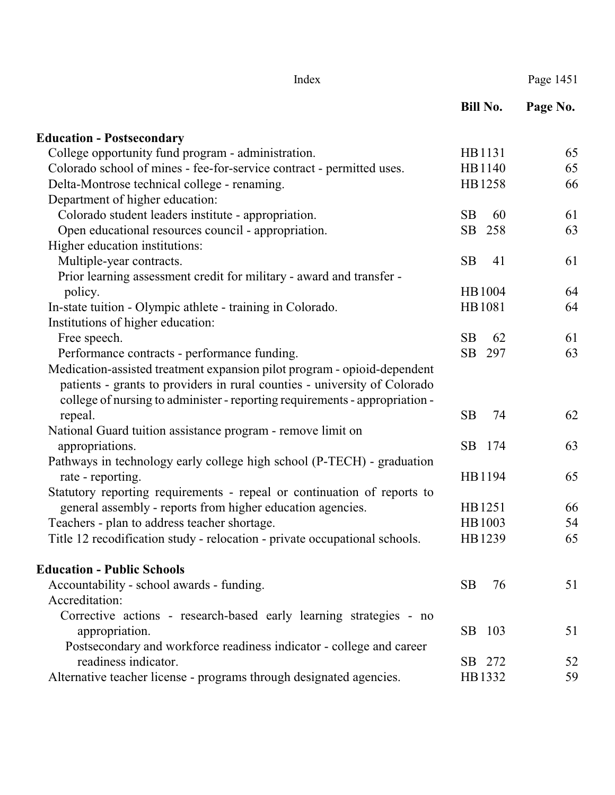|                                                                             | <b>Bill No.</b> | Page No. |
|-----------------------------------------------------------------------------|-----------------|----------|
| <b>Education - Postsecondary</b>                                            |                 |          |
| College opportunity fund program - administration.                          | HB1131          | 65       |
| Colorado school of mines - fee-for-service contract - permitted uses.       | HB1140          | 65       |
| Delta-Montrose technical college - renaming.                                | HB1258          | 66       |
| Department of higher education:                                             |                 |          |
| Colorado student leaders institute - appropriation.                         | <b>SB</b><br>60 | 61       |
| Open educational resources council - appropriation.                         | SB<br>258       | 63       |
| Higher education institutions:                                              |                 |          |
| Multiple-year contracts.                                                    | <b>SB</b><br>41 | 61       |
| Prior learning assessment credit for military - award and transfer -        |                 |          |
| policy.                                                                     | HB1004          | 64       |
| In-state tuition - Olympic athlete - training in Colorado.                  | HB1081          | 64       |
| Institutions of higher education:                                           |                 |          |
| Free speech.                                                                | <b>SB</b><br>62 | 61       |
| Performance contracts - performance funding.                                | SB<br>297       | 63       |
| Medication-assisted treatment expansion pilot program - opioid-dependent    |                 |          |
| patients - grants to providers in rural counties - university of Colorado   |                 |          |
| college of nursing to administer - reporting requirements - appropriation - |                 |          |
| repeal.                                                                     | <b>SB</b><br>74 | 62       |
| National Guard tuition assistance program - remove limit on                 |                 |          |
| appropriations.                                                             | SB.<br>174      | 63       |
| Pathways in technology early college high school (P-TECH) - graduation      |                 |          |
| rate - reporting.                                                           | HB1194          | 65       |
| Statutory reporting requirements - repeal or continuation of reports to     |                 |          |
| general assembly - reports from higher education agencies.                  | HB1251          | 66       |
| Teachers - plan to address teacher shortage.                                | HB1003          | 54       |
| Title 12 recodification study - relocation - private occupational schools.  | HB1239          | 65       |
| <b>Education - Public Schools</b>                                           |                 |          |
| Accountability - school awards - funding.                                   | SB<br>76        | 51       |
| Accreditation:                                                              |                 |          |
| Corrective actions - research-based early learning strategies - no          |                 |          |
| appropriation.                                                              | SB 103          | 51       |
| Postsecondary and workforce readiness indicator - college and career        |                 |          |
| readiness indicator.                                                        | SB 272          | 52       |
| Alternative teacher license - programs through designated agencies.         | HB1332          | 59       |

Index Page 1451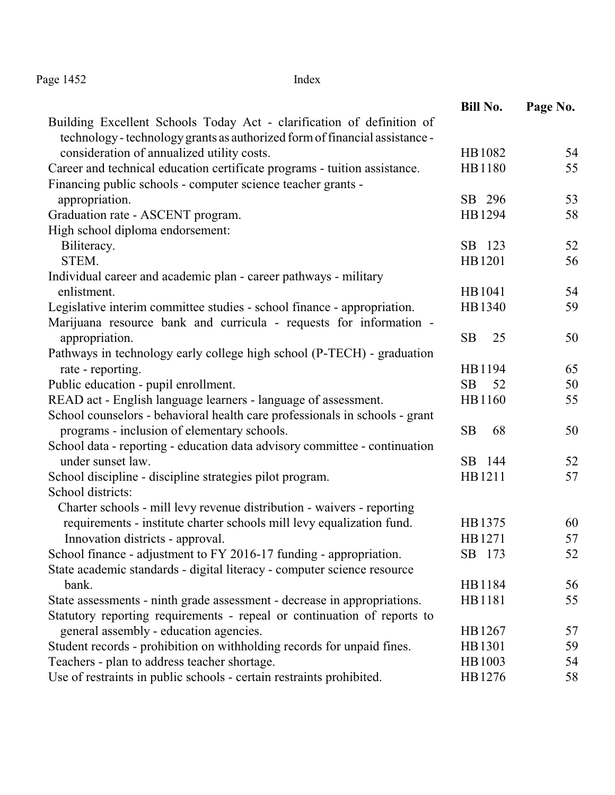Page 1452 Index

|                                                                             | <b>Bill No.</b> | Page No. |
|-----------------------------------------------------------------------------|-----------------|----------|
| Building Excellent Schools Today Act - clarification of definition of       |                 |          |
| technology - technology grants as authorized form of financial assistance - |                 |          |
| consideration of annualized utility costs.                                  | HB1082          | 54       |
| Career and technical education certificate programs - tuition assistance.   | HB1180          | 55       |
| Financing public schools - computer science teacher grants -                |                 |          |
| appropriation.                                                              | SB 296          | 53       |
| Graduation rate - ASCENT program.                                           | HB1294          | 58       |
| High school diploma endorsement:                                            |                 |          |
| Biliteracy.                                                                 | SB 123          | 52       |
| STEM.                                                                       | HB1201          | 56       |
| Individual career and academic plan - career pathways - military            |                 |          |
| enlistment.                                                                 | HB1041          | 54       |
| Legislative interim committee studies - school finance - appropriation.     | HB1340          | 59       |
| Marijuana resource bank and curricula - requests for information -          |                 |          |
| appropriation.                                                              | <b>SB</b><br>25 | 50       |
| Pathways in technology early college high school (P-TECH) - graduation      |                 |          |
| rate - reporting.                                                           | HB1194          | 65       |
| Public education - pupil enrollment.                                        | <b>SB</b><br>52 | 50       |
| READ act - English language learners - language of assessment.              | HB1160          | 55       |
| School counselors - behavioral health care professionals in schools - grant |                 |          |
| programs - inclusion of elementary schools.                                 | <b>SB</b><br>68 | 50       |
| School data - reporting - education data advisory committee - continuation  |                 |          |
| under sunset law.                                                           | SB 144          | 52       |
| School discipline - discipline strategies pilot program.                    | HB1211          | 57       |
| School districts:                                                           |                 |          |
| Charter schools - mill levy revenue distribution - waivers - reporting      |                 |          |
| requirements - institute charter schools mill levy equalization fund.       | HB1375          | 60       |
| Innovation districts - approval.                                            | HB1271          | 57       |
| School finance - adjustment to FY 2016-17 funding - appropriation.          | SB 173          | 52       |
| State academic standards - digital literacy - computer science resource     |                 |          |
| bank.                                                                       | HB1184          | 56       |
| State assessments - ninth grade assessment - decrease in appropriations.    | HB1181          | 55       |
| Statutory reporting requirements - repeal or continuation of reports to     |                 |          |
| general assembly - education agencies.                                      | HB1267          | 57       |
| Student records - prohibition on withholding records for unpaid fines.      | HB1301          | 59       |
| Teachers - plan to address teacher shortage.                                | HB1003          | 54       |
| Use of restraints in public schools - certain restraints prohibited.        | HB1276          | 58       |
|                                                                             |                 |          |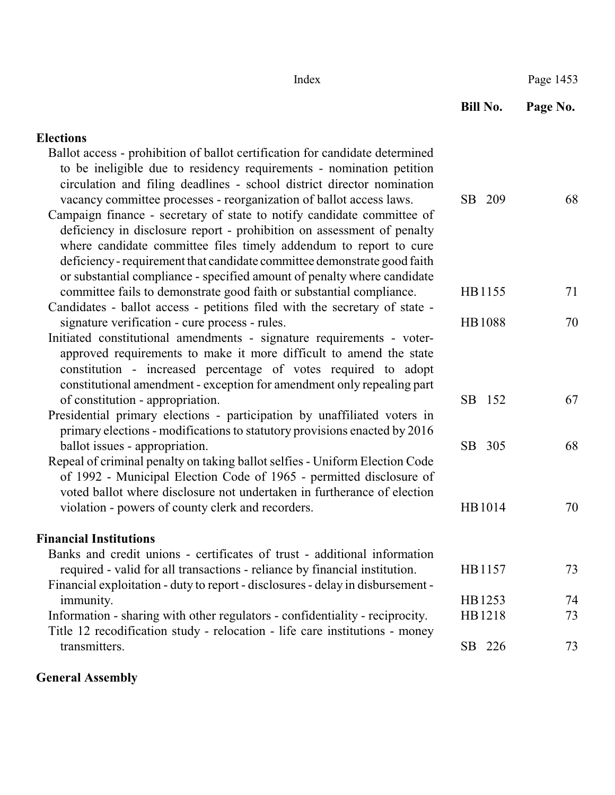| Index                                                                                                                                                                                                                                                                                                                                                                        |               | Page 1453 |
|------------------------------------------------------------------------------------------------------------------------------------------------------------------------------------------------------------------------------------------------------------------------------------------------------------------------------------------------------------------------------|---------------|-----------|
|                                                                                                                                                                                                                                                                                                                                                                              | Bill No.      | Page No.  |
| <b>Elections</b>                                                                                                                                                                                                                                                                                                                                                             |               |           |
| Ballot access - prohibition of ballot certification for candidate determined<br>to be ineligible due to residency requirements - nomination petition<br>circulation and filing deadlines - school district director nomination<br>vacancy committee processes - reorganization of ballot access laws.                                                                        | SB<br>209     | 68        |
| Campaign finance - secretary of state to notify candidate committee of<br>deficiency in disclosure report - prohibition on assessment of penalty<br>where candidate committee files timely addendum to report to cure<br>deficiency - requirement that candidate committee demonstrate good faith<br>or substantial compliance - specified amount of penalty where candidate |               |           |
| committee fails to demonstrate good faith or substantial compliance.<br>Candidates - ballot access - petitions filed with the secretary of state -                                                                                                                                                                                                                           | HB1155        | 71        |
| signature verification - cure process - rules.<br>Initiated constitutional amendments - signature requirements - voter-<br>approved requirements to make it more difficult to amend the state<br>constitution - increased percentage of votes required to adopt<br>constitutional amendment - exception for amendment only repealing part                                    | <b>HB1088</b> | 70        |
| of constitution - appropriation.<br>Presidential primary elections - participation by unaffiliated voters in<br>primary elections - modifications to statutory provisions enacted by 2016                                                                                                                                                                                    | SB 152        | 67        |
| ballot issues - appropriation.<br>Repeal of criminal penalty on taking ballot selfies - Uniform Election Code<br>of 1992 - Municipal Election Code of 1965 - permitted disclosure of<br>voted ballot where disclosure not undertaken in furtherance of election                                                                                                              | SB 305        | 68        |
| violation - powers of county clerk and recorders.                                                                                                                                                                                                                                                                                                                            | HB1014        | 70        |
| <b>Financial Institutions</b>                                                                                                                                                                                                                                                                                                                                                |               |           |
| Banks and credit unions - certificates of trust - additional information<br>required - valid for all transactions - reliance by financial institution.<br>Financial exploitation - duty to report - disclosures - delay in disbursement -                                                                                                                                    | HB1157        | 73        |
| immunity.                                                                                                                                                                                                                                                                                                                                                                    | HB1253        | 74        |
| Information - sharing with other regulators - confidentiality - reciprocity.<br>Title 12 recodification study - relocation - life care institutions - money                                                                                                                                                                                                                  | HB1218        | 73        |
| transmitters.                                                                                                                                                                                                                                                                                                                                                                | SB 226        | 73        |

## **General Assembly**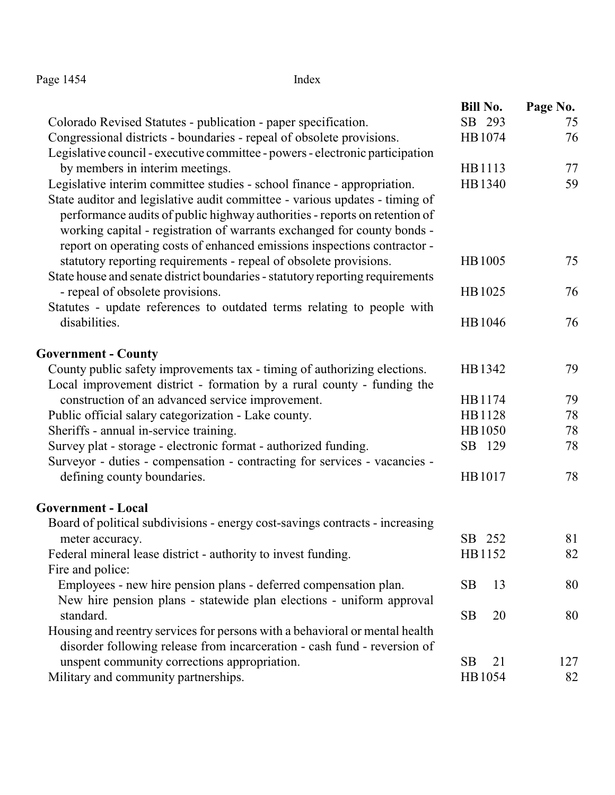| Page 1454 | Index |
|-----------|-------|
|-----------|-------|

|                                                                                                                                                                                                                                                                                                                  | <b>Bill No.</b> | Page No. |
|------------------------------------------------------------------------------------------------------------------------------------------------------------------------------------------------------------------------------------------------------------------------------------------------------------------|-----------------|----------|
| Colorado Revised Statutes - publication - paper specification.                                                                                                                                                                                                                                                   | SB 293          | 75       |
| Congressional districts - boundaries - repeal of obsolete provisions.                                                                                                                                                                                                                                            | HB1074          | 76       |
| Legislative council - executive committee - powers - electronic participation                                                                                                                                                                                                                                    |                 |          |
| by members in interim meetings.                                                                                                                                                                                                                                                                                  | HB1113          | 77       |
| Legislative interim committee studies - school finance - appropriation.                                                                                                                                                                                                                                          | HB1340          | 59       |
| State auditor and legislative audit committee - various updates - timing of<br>performance audits of public highway authorities - reports on retention of<br>working capital - registration of warrants exchanged for county bonds -<br>report on operating costs of enhanced emissions inspections contractor - |                 |          |
| statutory reporting requirements - repeal of obsolete provisions.<br>State house and senate district boundaries - statutory reporting requirements                                                                                                                                                               | HB1005          | 75       |
| - repeal of obsolete provisions.                                                                                                                                                                                                                                                                                 | HB1025          | 76       |
| Statutes - update references to outdated terms relating to people with                                                                                                                                                                                                                                           |                 |          |
| disabilities.                                                                                                                                                                                                                                                                                                    | HB1046          | 76       |
| <b>Government - County</b>                                                                                                                                                                                                                                                                                       |                 |          |
| County public safety improvements tax - timing of authorizing elections.<br>Local improvement district - formation by a rural county - funding the                                                                                                                                                               | HB1342          | 79       |
| construction of an advanced service improvement.                                                                                                                                                                                                                                                                 | HB1174          | 79       |
| Public official salary categorization - Lake county.                                                                                                                                                                                                                                                             | HB1128          | 78       |
| Sheriffs - annual in-service training.                                                                                                                                                                                                                                                                           | HB1050          | 78       |
| Survey plat - storage - electronic format - authorized funding.                                                                                                                                                                                                                                                  | SB 129          | 78       |
| Surveyor - duties - compensation - contracting for services - vacancies -                                                                                                                                                                                                                                        |                 |          |
| defining county boundaries.                                                                                                                                                                                                                                                                                      | HB1017          | 78       |
| <b>Government - Local</b>                                                                                                                                                                                                                                                                                        |                 |          |
| Board of political subdivisions - energy cost-savings contracts - increasing                                                                                                                                                                                                                                     |                 |          |
| meter accuracy.                                                                                                                                                                                                                                                                                                  | SB 252          | 81       |
| Federal mineral lease district - authority to invest funding.                                                                                                                                                                                                                                                    | HB1152          | 82       |
| Fire and police:                                                                                                                                                                                                                                                                                                 |                 |          |
| Employees - new hire pension plans - deferred compensation plan.                                                                                                                                                                                                                                                 | 13<br><b>SB</b> | 80       |
| New hire pension plans - statewide plan elections - uniform approval                                                                                                                                                                                                                                             |                 |          |
| standard.                                                                                                                                                                                                                                                                                                        | <b>SB</b><br>20 | 80       |
| Housing and reentry services for persons with a behavioral or mental health                                                                                                                                                                                                                                      |                 |          |
| disorder following release from incarceration - cash fund - reversion of                                                                                                                                                                                                                                         |                 |          |
| unspent community corrections appropriation.                                                                                                                                                                                                                                                                     | <b>SB</b><br>21 | 127      |
| Military and community partnerships.                                                                                                                                                                                                                                                                             | HB1054          | 82       |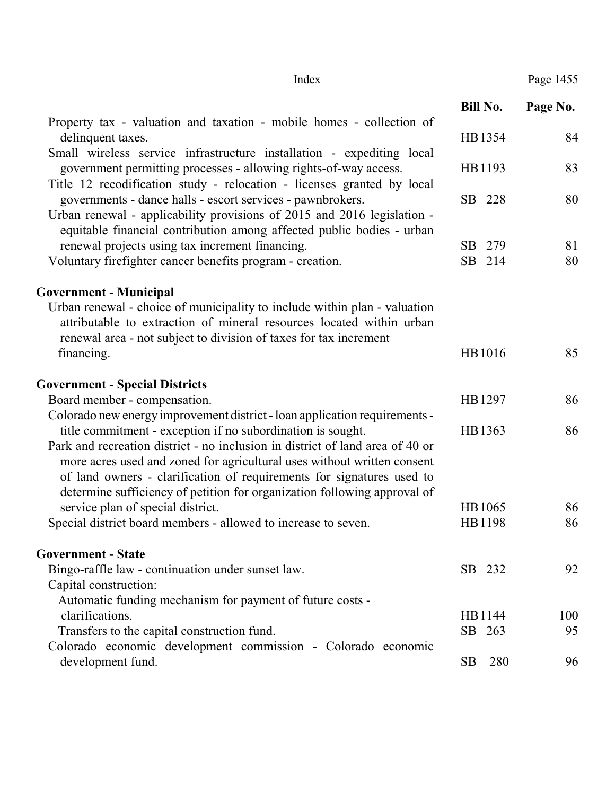|                                                                                                                                                                                                                                                                                                               | <b>Bill No.</b> | Page No. |
|---------------------------------------------------------------------------------------------------------------------------------------------------------------------------------------------------------------------------------------------------------------------------------------------------------------|-----------------|----------|
| Property tax - valuation and taxation - mobile homes - collection of<br>delinquent taxes.                                                                                                                                                                                                                     | HB1354          | 84       |
| Small wireless service infrastructure installation - expediting local<br>government permitting processes - allowing rights-of-way access.<br>Title 12 recodification study - relocation - licenses granted by local                                                                                           | HB1193          | 83       |
| governments - dance halls - escort services - pawnbrokers.<br>Urban renewal - applicability provisions of 2015 and 2016 legislation -<br>equitable financial contribution among affected public bodies - urban                                                                                                | SB 228          | 80       |
| renewal projects using tax increment financing.                                                                                                                                                                                                                                                               | SB<br>279       | 81       |
| Voluntary firefighter cancer benefits program - creation.                                                                                                                                                                                                                                                     | SB 214          | 80       |
| <b>Government - Municipal</b>                                                                                                                                                                                                                                                                                 |                 |          |
| Urban renewal - choice of municipality to include within plan - valuation<br>attributable to extraction of mineral resources located within urban<br>renewal area - not subject to division of taxes for tax increment                                                                                        |                 |          |
| financing.                                                                                                                                                                                                                                                                                                    | HB1016          | 85       |
| <b>Government - Special Districts</b>                                                                                                                                                                                                                                                                         |                 |          |
| Board member - compensation.                                                                                                                                                                                                                                                                                  | HB1297          | 86       |
| Colorado new energy improvement district - loan application requirements -                                                                                                                                                                                                                                    |                 |          |
| title commitment - exception if no subordination is sought.                                                                                                                                                                                                                                                   | HB1363          | 86       |
| Park and recreation district - no inclusion in district of land area of 40 or<br>more acres used and zoned for agricultural uses without written consent<br>of land owners - clarification of requirements for signatures used to<br>determine sufficiency of petition for organization following approval of |                 |          |
| service plan of special district.                                                                                                                                                                                                                                                                             | HB1065          | 86       |
| Special district board members - allowed to increase to seven.                                                                                                                                                                                                                                                | HB1198          | 86       |
| <b>Government - State</b>                                                                                                                                                                                                                                                                                     |                 |          |
| Bingo-raffle law - continuation under sunset law.                                                                                                                                                                                                                                                             | SB 232          | 92       |
| Capital construction:                                                                                                                                                                                                                                                                                         |                 |          |
| Automatic funding mechanism for payment of future costs -                                                                                                                                                                                                                                                     |                 |          |
| clarifications.                                                                                                                                                                                                                                                                                               | HB1144          | 100      |
| Transfers to the capital construction fund.                                                                                                                                                                                                                                                                   | SB 263          | 95       |
| Colorado economic development commission - Colorado economic<br>development fund.                                                                                                                                                                                                                             | SB<br>280       | 96       |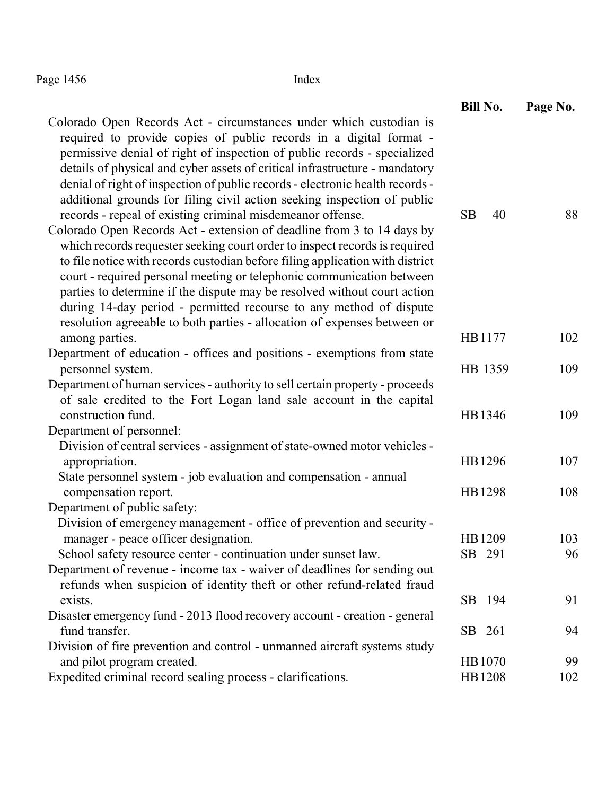Page 1456 Index

|                                                                                                                                                                                                                                                                                                                                                                                                                                                                                                                                              | <b>Bill No.</b> | Page No. |
|----------------------------------------------------------------------------------------------------------------------------------------------------------------------------------------------------------------------------------------------------------------------------------------------------------------------------------------------------------------------------------------------------------------------------------------------------------------------------------------------------------------------------------------------|-----------------|----------|
| Colorado Open Records Act - circumstances under which custodian is<br>required to provide copies of public records in a digital format -<br>permissive denial of right of inspection of public records - specialized<br>details of physical and cyber assets of critical infrastructure - mandatory<br>denial of right of inspection of public records - electronic health records -<br>additional grounds for filing civil action seeking inspection of public<br>records - repeal of existing criminal misdemeanor offense.                | <b>SB</b><br>40 | 88       |
| Colorado Open Records Act - extension of deadline from 3 to 14 days by<br>which records requester seeking court order to inspect records is required<br>to file notice with records custodian before filing application with district<br>court - required personal meeting or telephonic communication between<br>parties to determine if the dispute may be resolved without court action<br>during 14-day period - permitted recourse to any method of dispute<br>resolution agreeable to both parties - allocation of expenses between or |                 |          |
| among parties.                                                                                                                                                                                                                                                                                                                                                                                                                                                                                                                               | HB1177          | 102      |
| Department of education - offices and positions - exemptions from state                                                                                                                                                                                                                                                                                                                                                                                                                                                                      |                 |          |
| personnel system.<br>Department of human services - authority to sell certain property - proceeds<br>of sale credited to the Fort Logan land sale account in the capital                                                                                                                                                                                                                                                                                                                                                                     | HB 1359         | 109      |
| construction fund.                                                                                                                                                                                                                                                                                                                                                                                                                                                                                                                           | HB1346          | 109      |
| Department of personnel:                                                                                                                                                                                                                                                                                                                                                                                                                                                                                                                     |                 |          |
| Division of central services - assignment of state-owned motor vehicles -<br>appropriation.                                                                                                                                                                                                                                                                                                                                                                                                                                                  | HB1296          | 107      |
| State personnel system - job evaluation and compensation - annual<br>compensation report.                                                                                                                                                                                                                                                                                                                                                                                                                                                    | HB1298          | 108      |
| Department of public safety:                                                                                                                                                                                                                                                                                                                                                                                                                                                                                                                 |                 |          |
| Division of emergency management - office of prevention and security -                                                                                                                                                                                                                                                                                                                                                                                                                                                                       |                 |          |
| manager - peace officer designation.                                                                                                                                                                                                                                                                                                                                                                                                                                                                                                         | HB1209          | 103      |
| School safety resource center - continuation under sunset law.                                                                                                                                                                                                                                                                                                                                                                                                                                                                               | SB 291          | 96       |
| Department of revenue - income tax - waiver of deadlines for sending out<br>refunds when suspicion of identity theft or other refund-related fraud                                                                                                                                                                                                                                                                                                                                                                                           |                 |          |
| exists.                                                                                                                                                                                                                                                                                                                                                                                                                                                                                                                                      | SB 194          | 91       |
| Disaster emergency fund - 2013 flood recovery account - creation - general                                                                                                                                                                                                                                                                                                                                                                                                                                                                   |                 |          |
| fund transfer.                                                                                                                                                                                                                                                                                                                                                                                                                                                                                                                               | SB 261          | 94       |
| Division of fire prevention and control - unmanned aircraft systems study                                                                                                                                                                                                                                                                                                                                                                                                                                                                    |                 |          |
| and pilot program created.                                                                                                                                                                                                                                                                                                                                                                                                                                                                                                                   | HB1070          | 99       |
| Expedited criminal record sealing process - clarifications.                                                                                                                                                                                                                                                                                                                                                                                                                                                                                  | HB1208          | 102      |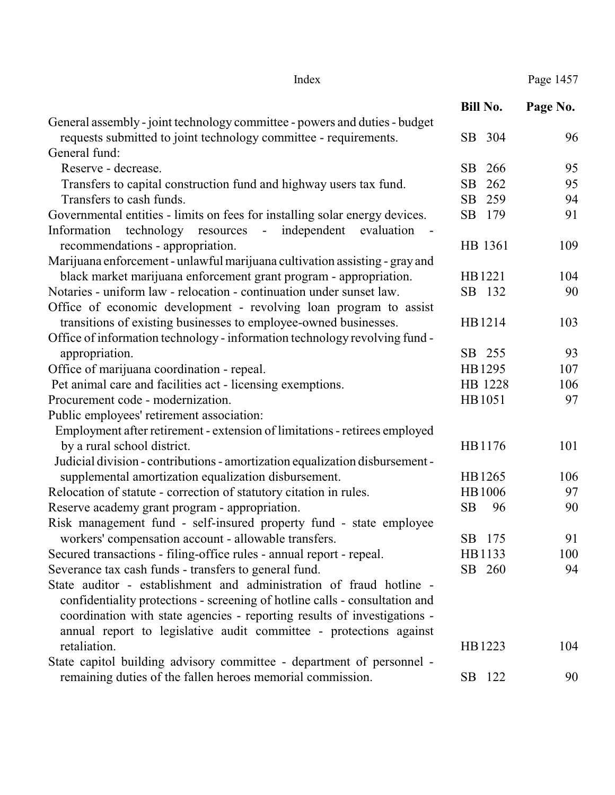|                                                                              | <b>Bill No.</b> | Page No. |
|------------------------------------------------------------------------------|-----------------|----------|
| General assembly - joint technology committee - powers and duties - budget   |                 |          |
| requests submitted to joint technology committee - requirements.             | SB 304          | 96       |
| General fund:                                                                |                 |          |
| Reserve - decrease.                                                          | 266<br>SB       | 95       |
| Transfers to capital construction fund and highway users tax fund.           | SB<br>262       | 95       |
| Transfers to cash funds.                                                     | 259<br>SB       | 94       |
| Governmental entities - limits on fees for installing solar energy devices.  | SB<br>179       | 91       |
| Information<br>technology resources -<br>independent<br>evaluation           |                 |          |
| recommendations - appropriation.                                             | HB 1361         | 109      |
| Marijuana enforcement - unlawful marijuana cultivation assisting - gray and  |                 |          |
| black market marijuana enforcement grant program - appropriation.            | HB1221          | 104      |
| Notaries - uniform law - relocation - continuation under sunset law.         | SB 132          | 90       |
| Office of economic development - revolving loan program to assist            |                 |          |
| transitions of existing businesses to employee-owned businesses.             | HB1214          | 103      |
| Office of information technology - information technology revolving fund -   |                 |          |
| appropriation.                                                               | SB 255          | 93       |
| Office of marijuana coordination - repeal.                                   | HB1295          | 107      |
| Pet animal care and facilities act - licensing exemptions.                   | HB 1228         | 106      |
| Procurement code - modernization.                                            | HB1051          | 97       |
| Public employees' retirement association:                                    |                 |          |
| Employment after retirement - extension of limitations - retirees employed   |                 |          |
| by a rural school district.                                                  | HB1176          | 101      |
| Judicial division - contributions - amortization equalization disbursement - |                 |          |
| supplemental amortization equalization disbursement.                         | HB1265          | 106      |
| Relocation of statute - correction of statutory citation in rules.           | HB1006          | 97       |
| Reserve academy grant program - appropriation.                               | <b>SB</b><br>96 | 90       |
| Risk management fund - self-insured property fund - state employee           |                 |          |
| workers' compensation account - allowable transfers.                         | SB<br>175       | 91       |
| Secured transactions - filing-office rules - annual report - repeal.         | HB1133          | 100      |
| Severance tax cash funds - transfers to general fund.                        | SB 260          | 94       |
| State auditor - establishment and administration of fraud hotline -          |                 |          |
| confidentiality protections - screening of hotline calls - consultation and  |                 |          |
| coordination with state agencies - reporting results of investigations -     |                 |          |
| annual report to legislative audit committee - protections against           |                 |          |
| retaliation.                                                                 | HB1223          | 104      |
| State capitol building advisory committee - department of personnel -        |                 |          |
| remaining duties of the fallen heroes memorial commission.                   | SB 122          | 90       |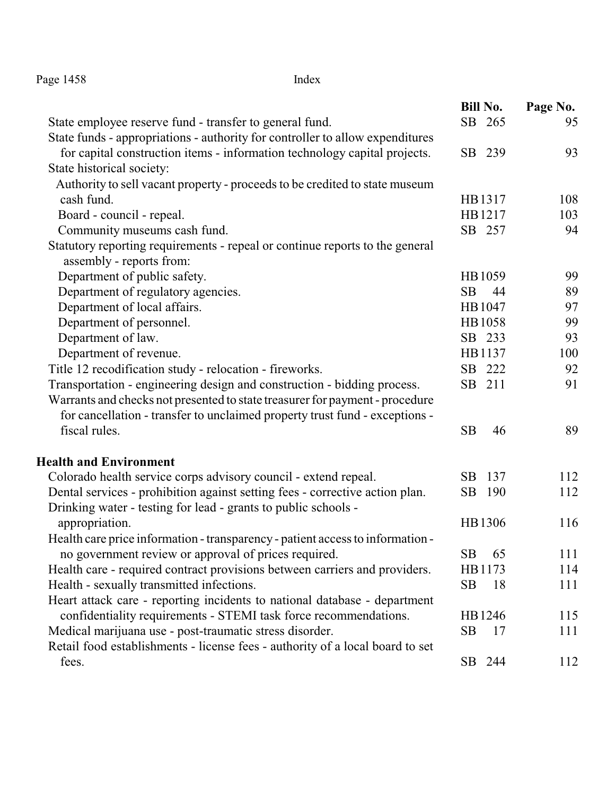|  | Page 1458 |  |
|--|-----------|--|
|--|-----------|--|

```
Index
```

|                                                                                | <b>Bill No.</b> | Page No. |
|--------------------------------------------------------------------------------|-----------------|----------|
| State employee reserve fund - transfer to general fund.                        | SB 265          | 95       |
| State funds - appropriations - authority for controller to allow expenditures  |                 |          |
| for capital construction items - information technology capital projects.      | SB 239          | 93       |
| State historical society:                                                      |                 |          |
| Authority to sell vacant property - proceeds to be credited to state museum    |                 |          |
| cash fund.                                                                     | HB1317          | 108      |
| Board - council - repeal.                                                      | HB1217          | 103      |
| Community museums cash fund.                                                   | SB 257          | 94       |
| Statutory reporting requirements - repeal or continue reports to the general   |                 |          |
| assembly - reports from:                                                       |                 |          |
| Department of public safety.                                                   | HB1059          | 99       |
| Department of regulatory agencies.                                             | <b>SB</b><br>44 | 89       |
| Department of local affairs.                                                   | HB1047          | 97       |
| Department of personnel.                                                       | HB1058          | 99       |
| Department of law.                                                             | SB 233          | 93       |
| Department of revenue.                                                         | HB1137          | 100      |
| Title 12 recodification study - relocation - fireworks.                        | SB 222          | 92       |
| Transportation - engineering design and construction - bidding process.        | SB 211          | 91       |
| Warrants and checks not presented to state treasurer for payment - procedure   |                 |          |
| for cancellation - transfer to unclaimed property trust fund - exceptions -    |                 |          |
| fiscal rules.                                                                  | <b>SB</b><br>46 | 89       |
| <b>Health and Environment</b>                                                  |                 |          |
| Colorado health service corps advisory council - extend repeal.                | SB<br>137       | 112      |
| Dental services - prohibition against setting fees - corrective action plan.   | SB<br>190       | 112      |
| Drinking water - testing for lead - grants to public schools -                 |                 |          |
| appropriation.                                                                 | HB1306          | 116      |
| Health care price information - transparency - patient access to information - |                 |          |
| no government review or approval of prices required.                           | SB<br>65        | 111      |
| Health care - required contract provisions between carriers and providers.     | HB1173          | 114      |
| Health - sexually transmitted infections.                                      | SB<br>18        | 111      |
| Heart attack care - reporting incidents to national database - department      |                 |          |
| confidentiality requirements - STEMI task force recommendations.               | HB1246          | 115      |
| Medical marijuana use - post-traumatic stress disorder.                        | <b>SB</b><br>17 | 111      |
| Retail food establishments - license fees - authority of a local board to set  |                 |          |
| fees.                                                                          | SB 244          | 112      |
|                                                                                |                 |          |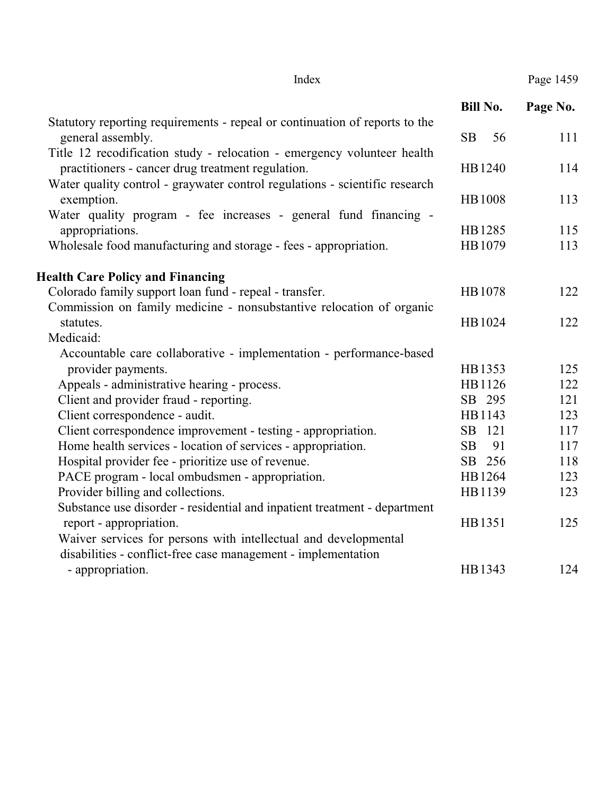|                                                                             | <b>Bill No.</b> | Page No. |
|-----------------------------------------------------------------------------|-----------------|----------|
| Statutory reporting requirements - repeal or continuation of reports to the |                 |          |
| general assembly.                                                           | <b>SB</b><br>56 | 111      |
| Title 12 recodification study - relocation - emergency volunteer health     |                 |          |
| practitioners - cancer drug treatment regulation.                           | HB1240          | 114      |
| Water quality control - graywater control regulations - scientific research |                 |          |
| exemption.                                                                  | <b>HB1008</b>   | 113      |
| Water quality program - fee increases - general fund financing -            |                 |          |
| appropriations.                                                             | HB1285          | 115      |
| Wholesale food manufacturing and storage - fees - appropriation.            | HB1079          | 113      |
| <b>Health Care Policy and Financing</b>                                     |                 |          |
| Colorado family support loan fund - repeal - transfer.                      | HB1078          | 122      |
| Commission on family medicine - nonsubstantive relocation of organic        |                 |          |
| statutes.                                                                   | HB1024          | 122      |
| Medicaid:                                                                   |                 |          |
| Accountable care collaborative - implementation - performance-based         |                 |          |
| provider payments.                                                          | HB1353          | 125      |
| Appeals - administrative hearing - process.                                 | HB1126          | 122      |
| Client and provider fraud - reporting.                                      | SB 295          | 121      |
| Client correspondence - audit.                                              | HB1143          | 123      |
| Client correspondence improvement - testing - appropriation.                | SB 121          | 117      |
| Home health services - location of services - appropriation.                | <b>SB</b><br>91 | 117      |
| Hospital provider fee - prioritize use of revenue.                          | SB 256          | 118      |
| PACE program - local ombudsmen - appropriation.                             | HB1264          | 123      |
| Provider billing and collections.                                           | HB1139          | 123      |
| Substance use disorder - residential and inpatient treatment - department   |                 |          |
| report - appropriation.                                                     | HB1351          | 125      |
| Waiver services for persons with intellectual and developmental             |                 |          |
| disabilities - conflict-free case management - implementation               |                 |          |
| - appropriation.                                                            | HB1343          | 124      |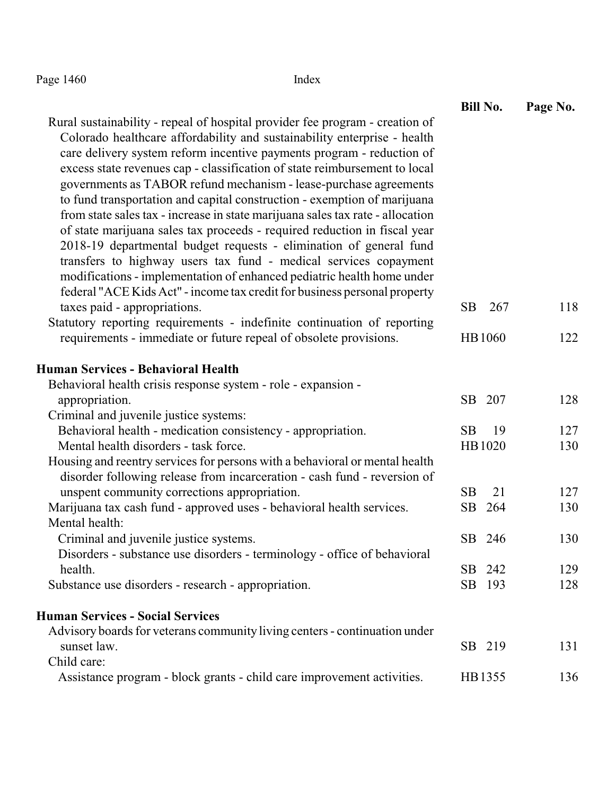Page 1460 Index

|                                                                                                                                                                                                                                                                                                                                                                                                                                                                                                                                                                                                                                                                                                                                                                                                                                                                                                                                  | <b>Bill No.</b> | Page No. |
|----------------------------------------------------------------------------------------------------------------------------------------------------------------------------------------------------------------------------------------------------------------------------------------------------------------------------------------------------------------------------------------------------------------------------------------------------------------------------------------------------------------------------------------------------------------------------------------------------------------------------------------------------------------------------------------------------------------------------------------------------------------------------------------------------------------------------------------------------------------------------------------------------------------------------------|-----------------|----------|
| Rural sustainability - repeal of hospital provider fee program - creation of<br>Colorado healthcare affordability and sustainability enterprise - health<br>care delivery system reform incentive payments program - reduction of<br>excess state revenues cap - classification of state reimbursement to local<br>governments as TABOR refund mechanism - lease-purchase agreements<br>to fund transportation and capital construction - exemption of marijuana<br>from state sales tax - increase in state marijuana sales tax rate - allocation<br>of state marijuana sales tax proceeds - required reduction in fiscal year<br>2018-19 departmental budget requests - elimination of general fund<br>transfers to highway users tax fund - medical services copayment<br>modifications - implementation of enhanced pediatric health home under<br>federal "ACE Kids Act" - income tax credit for business personal property |                 |          |
| taxes paid - appropriations.                                                                                                                                                                                                                                                                                                                                                                                                                                                                                                                                                                                                                                                                                                                                                                                                                                                                                                     | SB<br>267       | 118      |
| Statutory reporting requirements - indefinite continuation of reporting                                                                                                                                                                                                                                                                                                                                                                                                                                                                                                                                                                                                                                                                                                                                                                                                                                                          |                 |          |
| requirements - immediate or future repeal of obsolete provisions.                                                                                                                                                                                                                                                                                                                                                                                                                                                                                                                                                                                                                                                                                                                                                                                                                                                                | HB1060          | 122      |
| <b>Human Services - Behavioral Health</b>                                                                                                                                                                                                                                                                                                                                                                                                                                                                                                                                                                                                                                                                                                                                                                                                                                                                                        |                 |          |
| Behavioral health crisis response system - role - expansion -                                                                                                                                                                                                                                                                                                                                                                                                                                                                                                                                                                                                                                                                                                                                                                                                                                                                    |                 |          |
| appropriation.                                                                                                                                                                                                                                                                                                                                                                                                                                                                                                                                                                                                                                                                                                                                                                                                                                                                                                                   | SB 207          | 128      |
| Criminal and juvenile justice systems:                                                                                                                                                                                                                                                                                                                                                                                                                                                                                                                                                                                                                                                                                                                                                                                                                                                                                           |                 |          |
| Behavioral health - medication consistency - appropriation.                                                                                                                                                                                                                                                                                                                                                                                                                                                                                                                                                                                                                                                                                                                                                                                                                                                                      | <b>SB</b><br>19 | 127      |
| Mental health disorders - task force.                                                                                                                                                                                                                                                                                                                                                                                                                                                                                                                                                                                                                                                                                                                                                                                                                                                                                            | HB1020          | 130      |
| Housing and reentry services for persons with a behavioral or mental health<br>disorder following release from incarceration - cash fund - reversion of                                                                                                                                                                                                                                                                                                                                                                                                                                                                                                                                                                                                                                                                                                                                                                          |                 |          |
| unspent community corrections appropriation.                                                                                                                                                                                                                                                                                                                                                                                                                                                                                                                                                                                                                                                                                                                                                                                                                                                                                     | <b>SB</b><br>21 | 127      |
| Marijuana tax cash fund - approved uses - behavioral health services.                                                                                                                                                                                                                                                                                                                                                                                                                                                                                                                                                                                                                                                                                                                                                                                                                                                            | SB<br>264       | 130      |
| Mental health:                                                                                                                                                                                                                                                                                                                                                                                                                                                                                                                                                                                                                                                                                                                                                                                                                                                                                                                   |                 |          |
| Criminal and juvenile justice systems.                                                                                                                                                                                                                                                                                                                                                                                                                                                                                                                                                                                                                                                                                                                                                                                                                                                                                           | SB 246          | 130      |
| Disorders - substance use disorders - terminology - office of behavioral                                                                                                                                                                                                                                                                                                                                                                                                                                                                                                                                                                                                                                                                                                                                                                                                                                                         |                 |          |
| health.                                                                                                                                                                                                                                                                                                                                                                                                                                                                                                                                                                                                                                                                                                                                                                                                                                                                                                                          | SB 242          | 129      |
| Substance use disorders - research - appropriation.                                                                                                                                                                                                                                                                                                                                                                                                                                                                                                                                                                                                                                                                                                                                                                                                                                                                              | SB 193          | 128      |
| <b>Human Services - Social Services</b>                                                                                                                                                                                                                                                                                                                                                                                                                                                                                                                                                                                                                                                                                                                                                                                                                                                                                          |                 |          |
| Advisory boards for veterans community living centers - continuation under                                                                                                                                                                                                                                                                                                                                                                                                                                                                                                                                                                                                                                                                                                                                                                                                                                                       |                 |          |
| sunset law.                                                                                                                                                                                                                                                                                                                                                                                                                                                                                                                                                                                                                                                                                                                                                                                                                                                                                                                      | SB 219          | 131      |
| Child care:                                                                                                                                                                                                                                                                                                                                                                                                                                                                                                                                                                                                                                                                                                                                                                                                                                                                                                                      |                 |          |
| Assistance program - block grants - child care improvement activities.                                                                                                                                                                                                                                                                                                                                                                                                                                                                                                                                                                                                                                                                                                                                                                                                                                                           | HB1355          | 136      |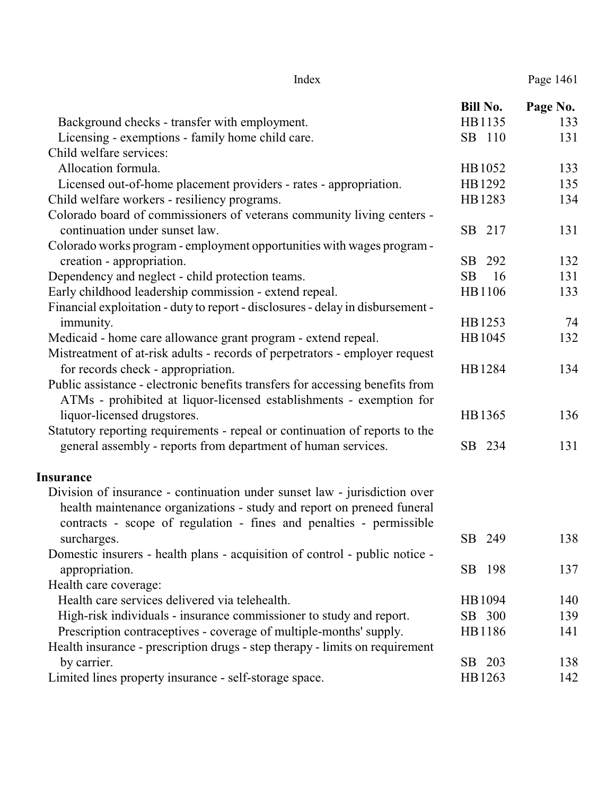|                                                                                 | <b>Bill No.</b> | Page No. |
|---------------------------------------------------------------------------------|-----------------|----------|
| Background checks - transfer with employment.                                   | HB1135          | 133      |
| Licensing - exemptions - family home child care.                                | SB 110          | 131      |
| Child welfare services:                                                         |                 |          |
| Allocation formula.                                                             | HB1052          | 133      |
| Licensed out-of-home placement providers - rates - appropriation.               | HB1292          | 135      |
| Child welfare workers - resiliency programs.                                    | HB1283          | 134      |
| Colorado board of commissioners of veterans community living centers -          |                 |          |
| continuation under sunset law.                                                  | SB 217          | 131      |
| Colorado works program - employment opportunities with wages program -          |                 |          |
| creation - appropriation.                                                       | SB<br>292       | 132      |
| Dependency and neglect - child protection teams.                                | 16<br><b>SB</b> | 131      |
| Early childhood leadership commission - extend repeal.                          | HB1106          | 133      |
| Financial exploitation - duty to report - disclosures - delay in disbursement - |                 |          |
| immunity.                                                                       | HB1253          | 74       |
| Medicaid - home care allowance grant program - extend repeal.                   | HB1045          | 132      |
| Mistreatment of at-risk adults - records of perpetrators - employer request     |                 |          |
| for records check - appropriation.                                              | HB1284          | 134      |
| Public assistance - electronic benefits transfers for accessing benefits from   |                 |          |
| ATMs - prohibited at liquor-licensed establishments - exemption for             |                 |          |
| liquor-licensed drugstores.                                                     | HB1365          | 136      |
| Statutory reporting requirements - repeal or continuation of reports to the     |                 |          |
| general assembly - reports from department of human services.                   | SB 234          | 131      |
| <b>Insurance</b>                                                                |                 |          |
| Division of insurance - continuation under sunset law - jurisdiction over       |                 |          |
| health maintenance organizations - study and report on preneed funeral          |                 |          |
| contracts - scope of regulation - fines and penalties - permissible             |                 |          |
| surcharges.                                                                     | SB 249          | 138      |
| Domestic insurers - health plans - acquisition of control - public notice -     |                 |          |
| appropriation.                                                                  | SB 198          | 137      |
| Health care coverage:                                                           |                 |          |
| Health care services delivered via telehealth.                                  | HB1094          | 140      |
| High-risk individuals - insurance commissioner to study and report.             | SB 300          | 139      |
| Prescription contraceptives - coverage of multiple-months' supply.              | HB1186          | 141      |
| Health insurance - prescription drugs - step therapy - limits on requirement    |                 |          |
| by carrier.                                                                     | SB 203          | 138      |
| Limited lines property insurance - self-storage space.                          | HB1263          | 142      |

## Index Page 1461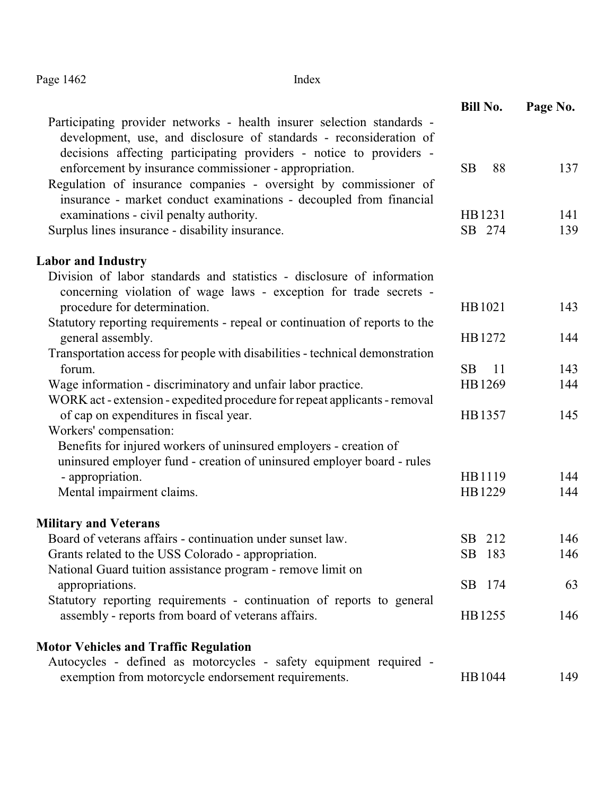# Page 1462 Index

|                                                                                                                                              | <b>Bill No.</b>  | Page No.   |
|----------------------------------------------------------------------------------------------------------------------------------------------|------------------|------------|
| Participating provider networks - health insurer selection standards -<br>development, use, and disclosure of standards - reconsideration of |                  |            |
| decisions affecting participating providers - notice to providers -                                                                          |                  |            |
| enforcement by insurance commissioner - appropriation.                                                                                       | 88<br>SB         | 137        |
| Regulation of insurance companies - oversight by commissioner of                                                                             |                  |            |
| insurance - market conduct examinations - decoupled from financial                                                                           |                  |            |
| examinations - civil penalty authority.                                                                                                      | HB1231<br>SB 274 | 141<br>139 |
| Surplus lines insurance - disability insurance.                                                                                              |                  |            |
| <b>Labor and Industry</b>                                                                                                                    |                  |            |
| Division of labor standards and statistics - disclosure of information                                                                       |                  |            |
| concerning violation of wage laws - exception for trade secrets -                                                                            |                  |            |
| procedure for determination.                                                                                                                 | HB1021           | 143        |
| Statutory reporting requirements - repeal or continuation of reports to the                                                                  |                  |            |
| general assembly.                                                                                                                            | HB1272           | 144        |
| Transportation access for people with disabilities - technical demonstration                                                                 |                  |            |
| forum.                                                                                                                                       | <b>SB</b><br>11  | 143        |
| Wage information - discriminatory and unfair labor practice.                                                                                 | HB1269           | 144        |
| WORK act - extension - expedited procedure for repeat applicants - removal                                                                   |                  |            |
| of cap on expenditures in fiscal year.                                                                                                       | HB1357           | 145        |
| Workers' compensation:                                                                                                                       |                  |            |
| Benefits for injured workers of uninsured employers - creation of                                                                            |                  |            |
| uninsured employer fund - creation of uninsured employer board - rules                                                                       |                  |            |
| - appropriation.                                                                                                                             | HB1119           | 144        |
| Mental impairment claims.                                                                                                                    | HB1229           | 144        |
| <b>Military and Veterans</b>                                                                                                                 |                  |            |
| Board of veterans affairs - continuation under sunset law.                                                                                   | SB 212           | 146        |
| Grants related to the USS Colorado - appropriation.                                                                                          | SB 183           | 146        |
| National Guard tuition assistance program - remove limit on                                                                                  |                  |            |
| appropriations.                                                                                                                              | SB 174           | 63         |
| Statutory reporting requirements - continuation of reports to general                                                                        |                  |            |
| assembly - reports from board of veterans affairs.                                                                                           | HB1255           | 146        |
| <b>Motor Vehicles and Traffic Regulation</b>                                                                                                 |                  |            |
| Autocycles - defined as motorcycles - safety equipment required -                                                                            |                  |            |
| exemption from motorcycle endorsement requirements.                                                                                          | HB1044           | 149        |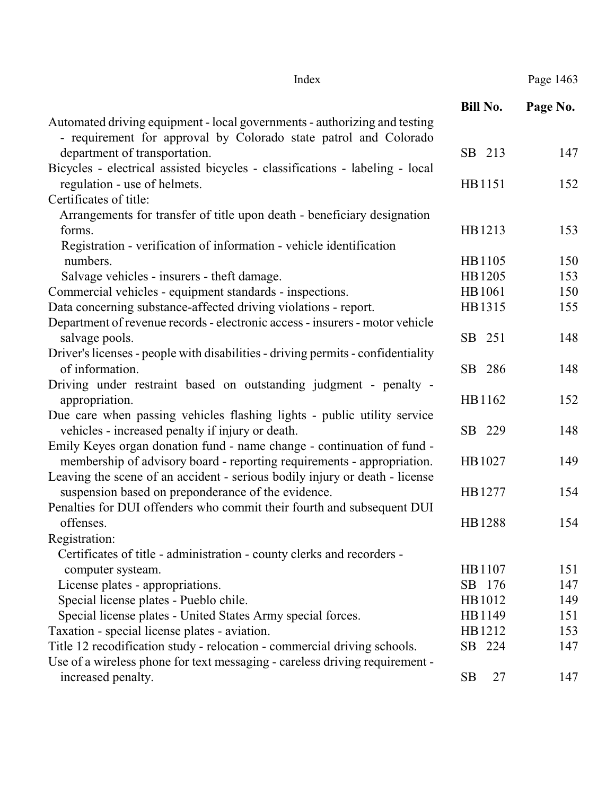| Index | Page 1463 |
|-------|-----------|
|-------|-----------|

|--|

|                                                                                  | <b>Bill No.</b> | Page No. |
|----------------------------------------------------------------------------------|-----------------|----------|
| Automated driving equipment - local governments - authorizing and testing        |                 |          |
| - requirement for approval by Colorado state patrol and Colorado                 |                 |          |
| department of transportation.                                                    | SB 213          | 147      |
| Bicycles - electrical assisted bicycles - classifications - labeling - local     |                 |          |
| regulation - use of helmets.                                                     | HB1151          | 152      |
| Certificates of title:                                                           |                 |          |
| Arrangements for transfer of title upon death - beneficiary designation          |                 |          |
| forms.                                                                           | HB1213          | 153      |
| Registration - verification of information - vehicle identification              |                 |          |
| numbers.                                                                         | HB1105          | 150      |
| Salvage vehicles - insurers - theft damage.                                      | HB1205          | 153      |
| Commercial vehicles - equipment standards - inspections.                         | HB1061          | 150      |
| Data concerning substance-affected driving violations - report.                  | HB1315          | 155      |
| Department of revenue records - electronic access - insurers - motor vehicle     |                 |          |
| salvage pools.                                                                   | SB 251          | 148      |
| Driver's licenses - people with disabilities - driving permits - confidentiality |                 |          |
| of information.                                                                  | SB 286          | 148      |
| Driving under restraint based on outstanding judgment - penalty -                |                 |          |
| appropriation.                                                                   | HB1162          | 152      |
| Due care when passing vehicles flashing lights - public utility service          |                 |          |
| vehicles - increased penalty if injury or death.                                 | SB 229          | 148      |
| Emily Keyes organ donation fund - name change - continuation of fund -           |                 |          |
| membership of advisory board - reporting requirements - appropriation.           | HB1027          | 149      |
| Leaving the scene of an accident - serious bodily injury or death - license      |                 |          |
| suspension based on preponderance of the evidence.                               | HB1277          | 154      |
| Penalties for DUI offenders who commit their fourth and subsequent DUI           |                 |          |
| offenses.                                                                        | HB1288          | 154      |
| Registration:                                                                    |                 |          |
| Certificates of title - administration - county clerks and recorders -           |                 |          |
| computer systeam.                                                                | HB1107          | 151      |
| License plates - appropriations.                                                 | SB 176          | 147      |
| Special license plates - Pueblo chile.                                           | HB1012          | 149      |
| Special license plates - United States Army special forces.                      | HB1149          | 151      |
| Taxation - special license plates - aviation.                                    | HB1212          | 153      |
| Title 12 recodification study - relocation - commercial driving schools.         | SB 224          | 147      |
| Use of a wireless phone for text messaging - careless driving requirement -      |                 |          |
| increased penalty.                                                               | <b>SB</b><br>27 | 147      |
|                                                                                  |                 |          |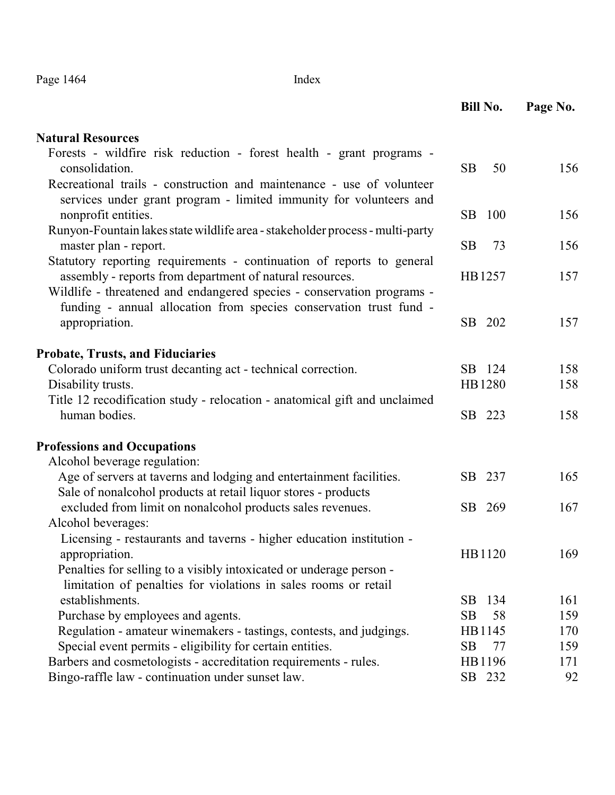| Page 1464 |  |
|-----------|--|
|-----------|--|

Index

|                                                                                                                                                                                                             | <b>Bill No.</b> | Page No. |
|-------------------------------------------------------------------------------------------------------------------------------------------------------------------------------------------------------------|-----------------|----------|
| <b>Natural Resources</b>                                                                                                                                                                                    |                 |          |
| Forests - wildfire risk reduction - forest health - grant programs -<br>consolidation.                                                                                                                      | <b>SB</b><br>50 | 156      |
| Recreational trails - construction and maintenance - use of volunteer<br>services under grant program - limited immunity for volunteers and                                                                 |                 |          |
| nonprofit entities.<br>Runyon-Fountain lakes state wildlife area - stakeholder process - multi-party                                                                                                        | SB<br>100       | 156      |
| master plan - report.                                                                                                                                                                                       | <b>SB</b><br>73 | 156      |
| Statutory reporting requirements - continuation of reports to general<br>assembly - reports from department of natural resources.<br>Wildlife - threatened and endangered species - conservation programs - | HB1257          | 157      |
| funding - annual allocation from species conservation trust fund -<br>appropriation.                                                                                                                        | SB 202          | 157      |
| <b>Probate, Trusts, and Fiduciaries</b>                                                                                                                                                                     |                 |          |
| Colorado uniform trust decanting act - technical correction.                                                                                                                                                | SB 124          | 158      |
| Disability trusts.                                                                                                                                                                                          | HB1280          | 158      |
| Title 12 recodification study - relocation - anatomical gift and unclaimed<br>human bodies.                                                                                                                 | SB 223          | 158      |
| <b>Professions and Occupations</b>                                                                                                                                                                          |                 |          |
| Alcohol beverage regulation:                                                                                                                                                                                |                 |          |
| Age of servers at taverns and lodging and entertainment facilities.<br>Sale of nonalcohol products at retail liquor stores - products                                                                       | SB 237          | 165      |
| excluded from limit on nonalcohol products sales revenues.                                                                                                                                                  | SB 269          | 167      |
| Alcohol beverages:                                                                                                                                                                                          |                 |          |
| Licensing - restaurants and taverns - higher education institution -<br>appropriation.                                                                                                                      | HB1120          | 169      |
| Penalties for selling to a visibly intoxicated or underage person -<br>limitation of penalties for violations in sales rooms or retail                                                                      |                 |          |
| establishments.                                                                                                                                                                                             | SB<br>134       | 161      |
| Purchase by employees and agents.                                                                                                                                                                           | <b>SB</b><br>58 | 159      |
| Regulation - amateur winemakers - tastings, contests, and judgings.                                                                                                                                         | HB1145          | 170      |
| Special event permits - eligibility for certain entities.                                                                                                                                                   | <b>SB</b><br>77 | 159      |
| Barbers and cosmetologists - accreditation requirements - rules.                                                                                                                                            | HB1196          | 171      |
| Bingo-raffle law - continuation under sunset law.                                                                                                                                                           | SB 232          | 92       |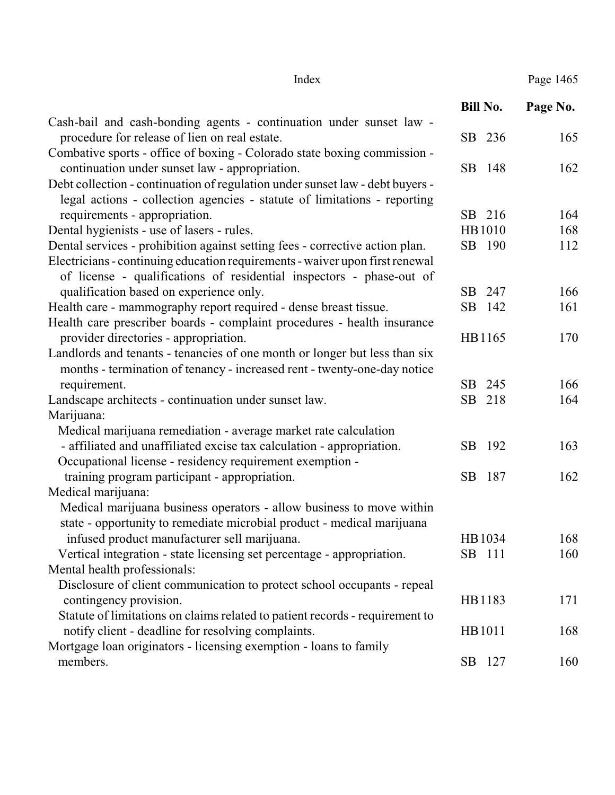| Page 1465 |  |
|-----------|--|
|           |  |

Index Pag

|                                                                               | <b>Bill No.</b> | Page No. |
|-------------------------------------------------------------------------------|-----------------|----------|
| Cash-bail and cash-bonding agents - continuation under sunset law -           |                 |          |
| procedure for release of lien on real estate.                                 | SB 236          | 165      |
| Combative sports - office of boxing - Colorado state boxing commission -      |                 |          |
| continuation under sunset law - appropriation.                                | SB<br>-148      | 162      |
| Debt collection - continuation of regulation under sunset law - debt buyers - |                 |          |
| legal actions - collection agencies - statute of limitations - reporting      |                 |          |
| requirements - appropriation.                                                 | SB 216          | 164      |
| Dental hygienists - use of lasers - rules.                                    | HB1010          | 168      |
| Dental services - prohibition against setting fees - corrective action plan.  | SB 190          | 112      |
| Electricians - continuing education requirements - waiver upon first renewal  |                 |          |
| of license - qualifications of residential inspectors - phase-out of          |                 |          |
| qualification based on experience only.                                       | 247<br>SB       | 166      |
| Health care - mammography report required - dense breast tissue.              | SB<br>142       | 161      |
| Health care prescriber boards - complaint procedures - health insurance       |                 |          |
| provider directories - appropriation.                                         | HB1165          | 170      |
| Landlords and tenants - tenancies of one month or longer but less than six    |                 |          |
| months - termination of tenancy - increased rent - twenty-one-day notice      |                 |          |
| requirement.                                                                  | 245<br>SB       | 166      |
| Landscape architects - continuation under sunset law.                         | SB 218          | 164      |
| Marijuana:                                                                    |                 |          |
| Medical marijuana remediation - average market rate calculation               |                 |          |
| - affiliated and unaffiliated excise tax calculation - appropriation.         | 192<br>SВ       | 163      |
| Occupational license - residency requirement exemption -                      |                 |          |
| training program participant - appropriation.                                 | SB<br>187       | 162      |
| Medical marijuana:                                                            |                 |          |
| Medical marijuana business operators - allow business to move within          |                 |          |
| state - opportunity to remediate microbial product - medical marijuana        |                 |          |
| infused product manufacturer sell marijuana.                                  | HB1034          | 168      |
| Vertical integration - state licensing set percentage - appropriation.        | SB 111          | 160      |
| Mental health professionals:                                                  |                 |          |
| Disclosure of client communication to protect school occupants - repeal       |                 |          |
| contingency provision.                                                        | HB1183          | 171      |
| Statute of limitations on claims related to patient records - requirement to  |                 |          |
| notify client - deadline for resolving complaints.                            | HB1011          | 168      |
| Mortgage loan originators - licensing exemption - loans to family             |                 |          |
| members.                                                                      | SB 127          | 160      |
|                                                                               |                 |          |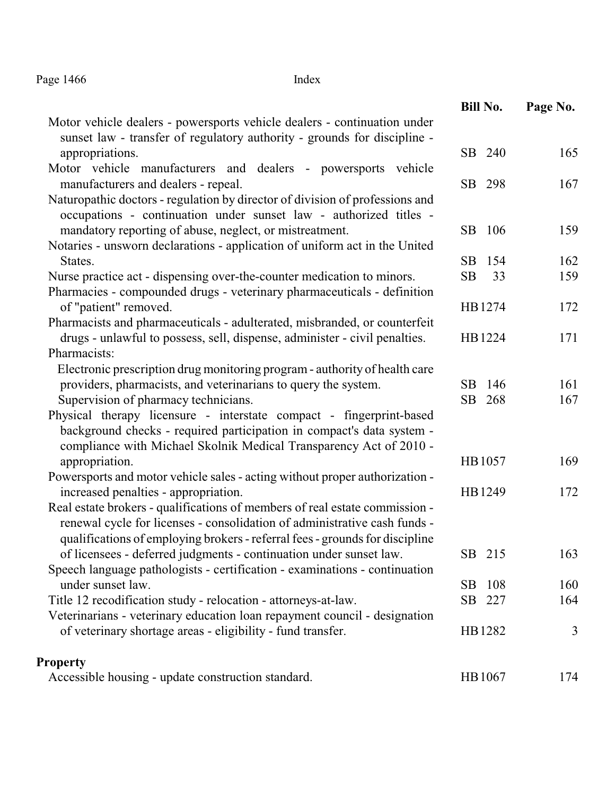Page 1466 Index

|                                                                                                                                                   | <b>Bill No.</b> | Page No. |
|---------------------------------------------------------------------------------------------------------------------------------------------------|-----------------|----------|
| Motor vehicle dealers - powersports vehicle dealers - continuation under                                                                          |                 |          |
| sunset law - transfer of regulatory authority - grounds for discipline -                                                                          |                 |          |
| appropriations.                                                                                                                                   | SB 240          | 165      |
| Motor vehicle manufacturers and dealers - powersports vehicle                                                                                     |                 |          |
| manufacturers and dealers - repeal.                                                                                                               | SB 298          | 167      |
| Naturopathic doctors - regulation by director of division of professions and<br>occupations - continuation under sunset law - authorized titles - |                 |          |
| mandatory reporting of abuse, neglect, or mistreatment.                                                                                           | SB 106          | 159      |
| Notaries - unsworn declarations - application of uniform act in the United                                                                        |                 |          |
| States.                                                                                                                                           | SB<br>154       | 162      |
| Nurse practice act - dispensing over-the-counter medication to minors.                                                                            | SB<br>33        | 159      |
| Pharmacies - compounded drugs - veterinary pharmaceuticals - definition                                                                           |                 |          |
| of "patient" removed.                                                                                                                             | HB1274          | 172      |
| Pharmacists and pharmaceuticals - adulterated, misbranded, or counterfeit                                                                         |                 |          |
| drugs - unlawful to possess, sell, dispense, administer - civil penalties.                                                                        | HB1224          | 171      |
| Pharmacists:                                                                                                                                      |                 |          |
| Electronic prescription drug monitoring program - authority of health care                                                                        |                 |          |
| providers, pharmacists, and veterinarians to query the system.                                                                                    | 146<br>SB.      | 161      |
| Supervision of pharmacy technicians.                                                                                                              | SB 268          | 167      |
| Physical therapy licensure - interstate compact - fingerprint-based                                                                               |                 |          |
| background checks - required participation in compact's data system -                                                                             |                 |          |
| compliance with Michael Skolnik Medical Transparency Act of 2010 -                                                                                |                 |          |
| appropriation.                                                                                                                                    | HB1057          | 169      |
| Powersports and motor vehicle sales - acting without proper authorization -                                                                       |                 |          |
| increased penalties - appropriation.                                                                                                              | HB1249          | 172      |
| Real estate brokers - qualifications of members of real estate commission -                                                                       |                 |          |
| renewal cycle for licenses - consolidation of administrative cash funds -                                                                         |                 |          |
| qualifications of employing brokers - referral fees - grounds for discipline                                                                      |                 |          |
| of licensees - deferred judgments - continuation under sunset law.                                                                                | SB 215          | 163      |
| Speech language pathologists - certification - examinations - continuation                                                                        |                 |          |
| under sunset law.                                                                                                                                 | 108<br>SB.      | 160      |
| Title 12 recodification study - relocation - attorneys-at-law.                                                                                    | SB 227          | 164      |
| Veterinarians - veterinary education loan repayment council - designation                                                                         |                 |          |
| of veterinary shortage areas - eligibility - fund transfer.                                                                                       | HB1282          | 3        |
| <b>Property</b>                                                                                                                                   |                 |          |
| Accessible housing - update construction standard.                                                                                                | HB1067          | 174      |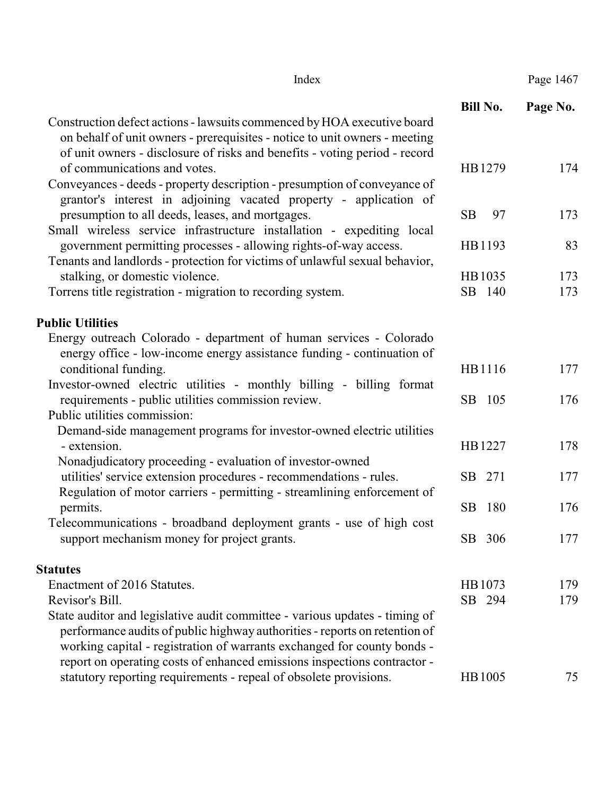| Index                                                                                                                                                                                                                                                               |                 | Page 1467 |
|---------------------------------------------------------------------------------------------------------------------------------------------------------------------------------------------------------------------------------------------------------------------|-----------------|-----------|
|                                                                                                                                                                                                                                                                     | <b>Bill No.</b> | Page No.  |
| Construction defect actions - lawsuits commenced by HOA executive board<br>on behalf of unit owners - prerequisites - notice to unit owners - meeting<br>of unit owners - disclosure of risks and benefits - voting period - record<br>of communications and votes. | HB1279          | 174       |
| Conveyances - deeds - property description - presumption of conveyance of<br>grantor's interest in adjoining vacated property - application of                                                                                                                      |                 |           |
| presumption to all deeds, leases, and mortgages.<br>Small wireless service infrastructure installation - expediting local                                                                                                                                           | <b>SB</b><br>97 | 173       |
| government permitting processes - allowing rights-of-way access.<br>Tenants and landlords - protection for victims of unlawful sexual behavior,                                                                                                                     | HB1193          | 83        |
| stalking, or domestic violence.                                                                                                                                                                                                                                     | HB1035          | 173       |
| Torrens title registration - migration to recording system.                                                                                                                                                                                                         | SB 140          | 173       |
| <b>Public Utilities</b>                                                                                                                                                                                                                                             |                 |           |
| Energy outreach Colorado - department of human services - Colorado                                                                                                                                                                                                  |                 |           |
| energy office - low-income energy assistance funding - continuation of<br>conditional funding.                                                                                                                                                                      | HB1116          | 177       |
| Investor-owned electric utilities - monthly billing - billing format<br>requirements - public utilities commission review.                                                                                                                                          | SB 105          | 176       |
| Public utilities commission:                                                                                                                                                                                                                                        |                 |           |
| Demand-side management programs for investor-owned electric utilities<br>- extension.                                                                                                                                                                               | HB1227          | 178       |
| Nonadjudicatory proceeding - evaluation of investor-owned<br>utilities' service extension procedures - recommendations - rules.<br>Regulation of motor carriers - permitting - streamlining enforcement of                                                          | SB 271          | 177       |
| permits.                                                                                                                                                                                                                                                            | SB<br>180       | 176       |
| Telecommunications - broadband deployment grants - use of high cost<br>support mechanism money for project grants.                                                                                                                                                  | SB 306          | 177       |
| <b>Statutes</b>                                                                                                                                                                                                                                                     |                 |           |
| Enactment of 2016 Statutes.                                                                                                                                                                                                                                         | HB1073          | 179       |
| Revisor's Bill.                                                                                                                                                                                                                                                     | SB 294          | 179       |
| State auditor and legislative audit committee - various updates - timing of<br>performance audits of public highway authorities - reports on retention of<br>working capital - registration of warrants exchanged for county bonds -                                |                 |           |
| report on operating costs of enhanced emissions inspections contractor -<br>statutory reporting requirements - repeal of obsolete provisions.                                                                                                                       | HB1005          | 75        |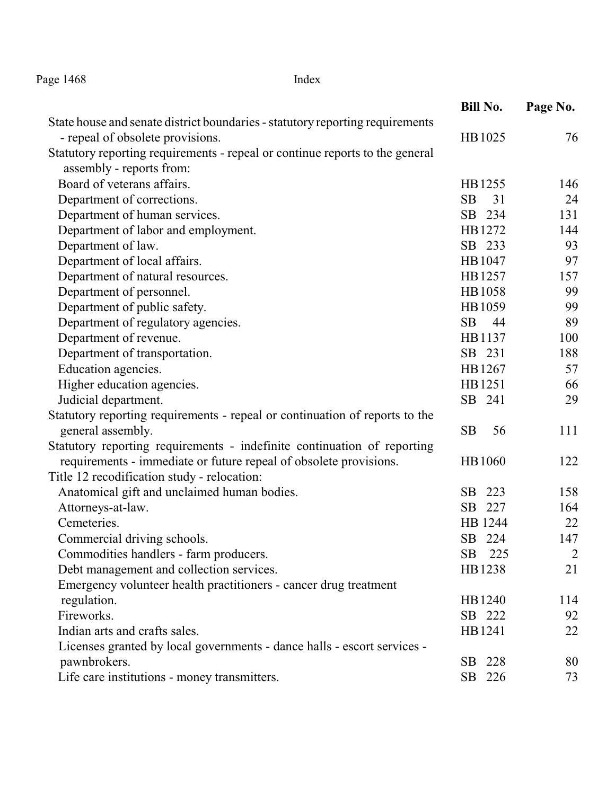Page 1468 Index

|                                                                               | <b>Bill No.</b> | Page No.       |
|-------------------------------------------------------------------------------|-----------------|----------------|
| State house and senate district boundaries - statutory reporting requirements |                 |                |
| - repeal of obsolete provisions.                                              | HB1025          | 76             |
| Statutory reporting requirements - repeal or continue reports to the general  |                 |                |
| assembly - reports from:                                                      |                 |                |
| Board of veterans affairs.                                                    | HB1255          | 146            |
| Department of corrections.                                                    | 31<br><b>SB</b> | 24             |
| Department of human services.                                                 | SB 234          | 131            |
| Department of labor and employment.                                           | HB1272          | 144            |
| Department of law.                                                            | SB 233          | 93             |
| Department of local affairs.                                                  | HB1047          | 97             |
| Department of natural resources.                                              | HB1257          | 157            |
| Department of personnel.                                                      | HB1058          | 99             |
| Department of public safety.                                                  | HB1059          | 99             |
| Department of regulatory agencies.                                            | SB<br>44        | 89             |
| Department of revenue.                                                        | HB1137          | 100            |
| Department of transportation.                                                 | SB 231          | 188            |
| Education agencies.                                                           | HB1267          | 57             |
| Higher education agencies.                                                    | HB1251          | 66             |
| Judicial department.                                                          | SB 241          | 29             |
| Statutory reporting requirements - repeal or continuation of reports to the   |                 |                |
| general assembly.                                                             | SB<br>56        | 111            |
| Statutory reporting requirements - indefinite continuation of reporting       |                 |                |
| requirements - immediate or future repeal of obsolete provisions.             | HB1060          | 122            |
| Title 12 recodification study - relocation:                                   |                 |                |
| Anatomical gift and unclaimed human bodies.                                   | SB<br>223       | 158            |
| Attorneys-at-law.                                                             | SB<br>227       | 164            |
| Cemeteries.                                                                   | HB 1244         | 22             |
| Commercial driving schools.                                                   | SB 224          | 147            |
| Commodities handlers - farm producers.                                        | SB.<br>225      | $\overline{2}$ |
| Debt management and collection services.                                      | HB1238          | 21             |
| Emergency volunteer health practitioners - cancer drug treatment              |                 |                |
| regulation.                                                                   | HB1240          | 114            |
| Fireworks.                                                                    | SB 222          | 92             |
| Indian arts and crafts sales.                                                 | HB1241          | 22             |
| Licenses granted by local governments - dance halls - escort services -       |                 |                |
| pawnbrokers.                                                                  | SB 228          | 80             |
| Life care institutions - money transmitters.                                  | SB 226          | 73             |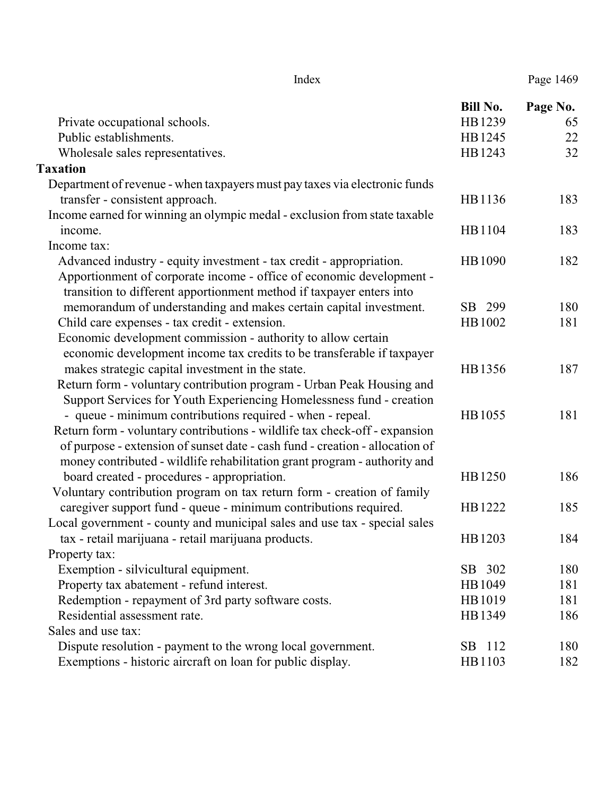|                                                                              | <b>Bill No.</b> | Page No. |
|------------------------------------------------------------------------------|-----------------|----------|
| Private occupational schools.                                                | HB1239          | 65       |
| Public establishments.                                                       | HB1245          | 22       |
| Wholesale sales representatives.                                             | HB1243          | 32       |
| <b>Taxation</b>                                                              |                 |          |
| Department of revenue - when taxpayers must pay taxes via electronic funds   |                 |          |
| transfer - consistent approach.                                              | HB1136          | 183      |
| Income earned for winning an olympic medal - exclusion from state taxable    |                 |          |
| income.                                                                      | HB1104          | 183      |
| Income tax:                                                                  |                 |          |
| Advanced industry - equity investment - tax credit - appropriation.          | HB1090          | 182      |
| Apportionment of corporate income - office of economic development -         |                 |          |
| transition to different apportionment method if taxpayer enters into         |                 |          |
| memorandum of understanding and makes certain capital investment.            | SB 299          | 180      |
| Child care expenses - tax credit - extension.                                | HB1002          | 181      |
| Economic development commission - authority to allow certain                 |                 |          |
| economic development income tax credits to be transferable if taxpayer       |                 |          |
| makes strategic capital investment in the state.                             | HB1356          | 187      |
| Return form - voluntary contribution program - Urban Peak Housing and        |                 |          |
| Support Services for Youth Experiencing Homelessness fund - creation         |                 |          |
| - queue - minimum contributions required - when - repeal.                    | HB1055          | 181      |
| Return form - voluntary contributions - wildlife tax check-off - expansion   |                 |          |
| of purpose - extension of sunset date - cash fund - creation - allocation of |                 |          |
| money contributed - wildlife rehabilitation grant program - authority and    |                 |          |
| board created - procedures - appropriation.                                  | HB1250          | 186      |
| Voluntary contribution program on tax return form - creation of family       |                 |          |
| caregiver support fund - queue - minimum contributions required.             | HB1222          | 185      |
| Local government - county and municipal sales and use tax - special sales    |                 |          |
| tax - retail marijuana - retail marijuana products.                          | HB1203          | 184      |
| Property tax:                                                                |                 |          |
| Exemption - silvicultural equipment.                                         | SB 302          | 180      |
| Property tax abatement - refund interest.                                    | HB1049          | 181      |
| Redemption - repayment of 3rd party software costs.                          | HB1019          | 181      |
| Residential assessment rate.                                                 | HB1349          | 186      |
| Sales and use tax:                                                           |                 |          |
| Dispute resolution - payment to the wrong local government.                  | SB 112          | 180      |
| Exemptions - historic aircraft on loan for public display.                   | HB1103          | 182      |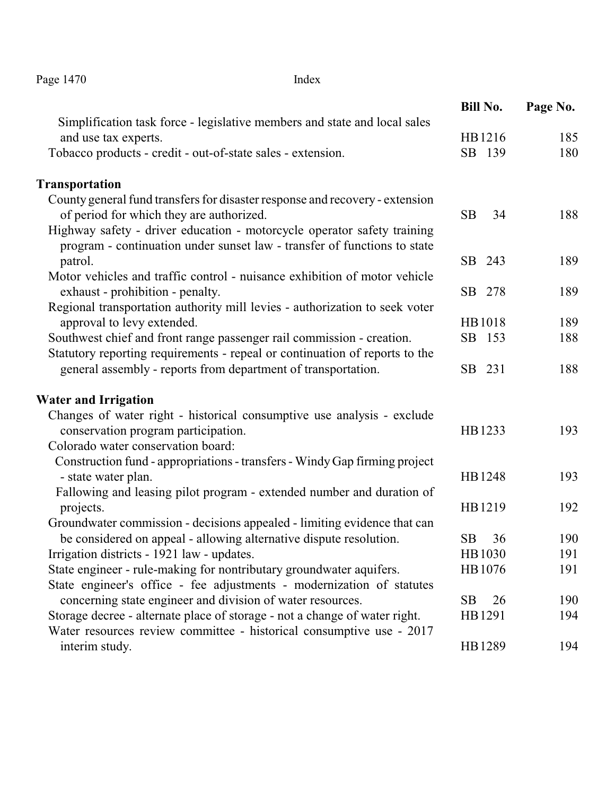Page 1470 Index

|                                                                                                   | <b>Bill No.</b> | Page No. |
|---------------------------------------------------------------------------------------------------|-----------------|----------|
| Simplification task force - legislative members and state and local sales<br>and use tax experts. | HB1216          | 185      |
| Tobacco products - credit - out-of-state sales - extension.                                       | SB 139          | 180      |
|                                                                                                   |                 |          |
| Transportation                                                                                    |                 |          |
| County general fund transfers for disaster response and recovery - extension                      |                 |          |
| of period for which they are authorized.                                                          | <b>SB</b><br>34 | 188      |
| Highway safety - driver education - motorcycle operator safety training                           |                 |          |
| program - continuation under sunset law - transfer of functions to state                          |                 |          |
| patrol.                                                                                           | SB 243          | 189      |
| Motor vehicles and traffic control - nuisance exhibition of motor vehicle                         |                 |          |
| exhaust - prohibition - penalty.                                                                  | SB 278          | 189      |
| Regional transportation authority mill levies - authorization to seek voter                       |                 |          |
| approval to levy extended.                                                                        | HB1018          | 189      |
| Southwest chief and front range passenger rail commission - creation.                             | SB 153          | 188      |
| Statutory reporting requirements - repeal or continuation of reports to the                       |                 |          |
| general assembly - reports from department of transportation.                                     | SB 231          | 188      |
| <b>Water and Irrigation</b>                                                                       |                 |          |
| Changes of water right - historical consumptive use analysis - exclude                            |                 |          |
| conservation program participation.                                                               | HB1233          | 193      |
| Colorado water conservation board:                                                                |                 |          |
| Construction fund - appropriations - transfers - Windy Gap firming project                        |                 |          |
| - state water plan.                                                                               | HB1248          | 193      |
| Fallowing and leasing pilot program - extended number and duration of                             |                 |          |
| projects.                                                                                         | HB1219          | 192      |
| Groundwater commission - decisions appealed - limiting evidence that can                          |                 |          |
| be considered on appeal - allowing alternative dispute resolution.                                | SB<br>36        | 190      |
| Irrigation districts - 1921 law - updates.                                                        | HB1030          | 191      |
| State engineer - rule-making for nontributary groundwater aquifers.                               | HB1076          | 191      |
| State engineer's office - fee adjustments - modernization of statutes                             |                 |          |
| concerning state engineer and division of water resources.                                        | 26<br>SB        | 190      |
| Storage decree - alternate place of storage - not a change of water right.                        | HB1291          | 194      |
| Water resources review committee - historical consumptive use - 2017                              |                 |          |
| interim study.                                                                                    | HB1289          | 194      |